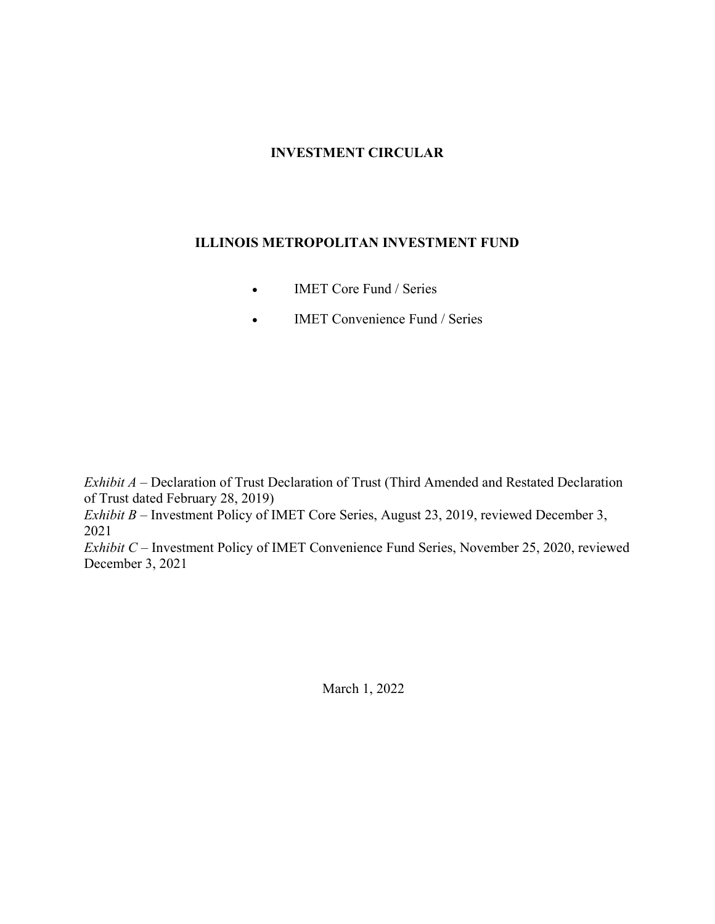# **INVESTMENT CIRCULAR**

# **ILLINOIS METROPOLITAN INVESTMENT FUND**

- **IMET Core Fund / Series**
- **IMET Convenience Fund / Series**

*Exhibit A – Declaration of Trust Declaration of Trust (Third Amended and Restated Declaration* of Trust dated February 28, 2019)

*Exhibit B – Investment Policy of IMET Core Series, August 23, 2019, reviewed December 3,* 2021

*Exhibit C* – Investment Policy of IMET Convenience Fund Series, November 25, 2020, reviewed December 3, 2021

March 1, 2022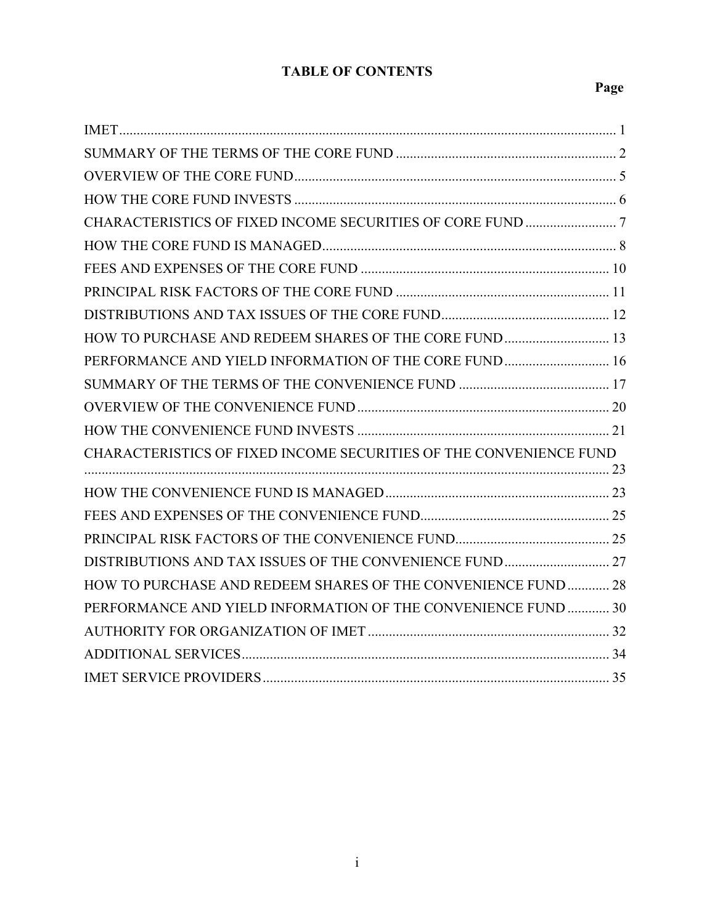# **TABLE OF CONTENTS**

# **Page**

| HOW TO PURCHASE AND REDEEM SHARES OF THE CORE FUND  13             |  |
|--------------------------------------------------------------------|--|
| PERFORMANCE AND YIELD INFORMATION OF THE CORE FUND 16              |  |
|                                                                    |  |
|                                                                    |  |
|                                                                    |  |
| CHARACTERISTICS OF FIXED INCOME SECURITIES OF THE CONVENIENCE FUND |  |
|                                                                    |  |
|                                                                    |  |
|                                                                    |  |
|                                                                    |  |
| HOW TO PURCHASE AND REDEEM SHARES OF THE CONVENIENCE FUND  28      |  |
| PERFORMANCE AND YIELD INFORMATION OF THE CONVENIENCE FUND  30      |  |
|                                                                    |  |
|                                                                    |  |
|                                                                    |  |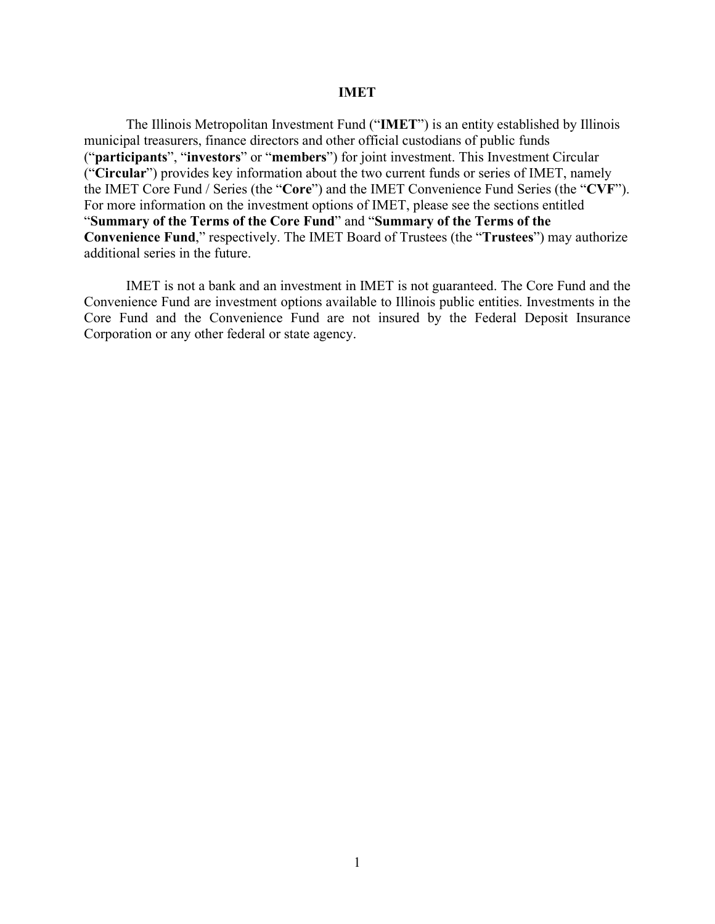#### **IMET**

The Illinois Metropolitan Investment Fund ("**IMET**") is an entity established by Illinois municipal treasurers, finance directors and other official custodians of public funds ("**participants**", "**investors**" or "**members**") for joint investment. This Investment Circular ("**Circular**") provides key information about the two current funds or series of IMET, namely the IMET Core Fund / Series (the "**Core**") and the IMET Convenience Fund Series (the "**CVF**"). For more information on the investment options of IMET, please see the sections entitled "**Summary of the Terms of the Core Fund**" and "**Summary of the Terms of the Convenience Fund**," respectively. The IMET Board of Trustees (the "**Trustees**") may authorize additional series in the future.

IMET is not a bank and an investment in IMET is not guaranteed. The Core Fund and the Convenience Fund are investment options available to Illinois public entities. Investments in the Core Fund and the Convenience Fund are not insured by the Federal Deposit Insurance Corporation or any other federal or state agency.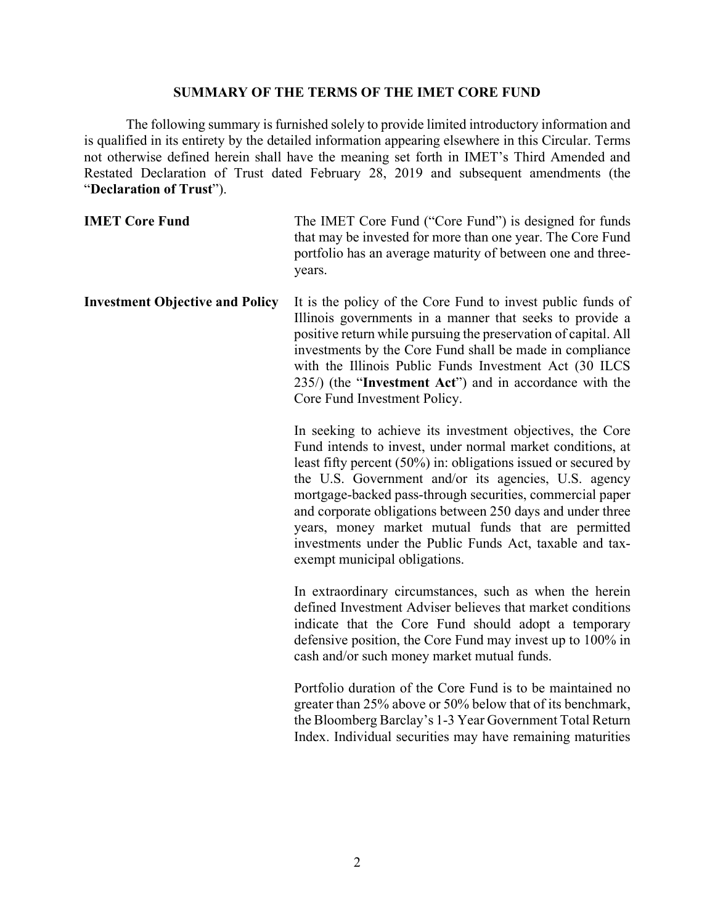### **SUMMARY OF THE TERMS OF THE IMET CORE FUND**

The following summary is furnished solely to provide limited introductory information and is qualified in its entirety by the detailed information appearing elsewhere in this Circular. Terms not otherwise defined herein shall have the meaning set forth in IMET's Third Amended and Restated Declaration of Trust dated February 28, 2019 and subsequent amendments (the "**Declaration of Trust**").

**IMET Core Fund** The IMET Core Fund ("Core Fund") is designed for funds that may be invested for more than one year. The Core Fund portfolio has an average maturity of between one and threeyears.

**Investment Objective and Policy** It is the policy of the Core Fund to invest public funds of Illinois governments in a manner that seeks to provide a positive return while pursuing the preservation of capital. All investments by the Core Fund shall be made in compliance with the Illinois Public Funds Investment Act (30 ILCS 235/) (the "**Investment Act**") and in accordance with the Core Fund Investment Policy.

> In seeking to achieve its investment objectives, the Core Fund intends to invest, under normal market conditions, at least fifty percent (50%) in: obligations issued or secured by the U.S. Government and/or its agencies, U.S. agency mortgage-backed pass-through securities, commercial paper and corporate obligations between 250 days and under three years, money market mutual funds that are permitted investments under the Public Funds Act, taxable and taxexempt municipal obligations.

> In extraordinary circumstances, such as when the herein defined Investment Adviser believes that market conditions indicate that the Core Fund should adopt a temporary defensive position, the Core Fund may invest up to 100% in cash and/or such money market mutual funds.

> Portfolio duration of the Core Fund is to be maintained no greater than 25% above or 50% below that of its benchmark, the Bloomberg Barclay's 1-3 Year Government Total Return Index. Individual securities may have remaining maturities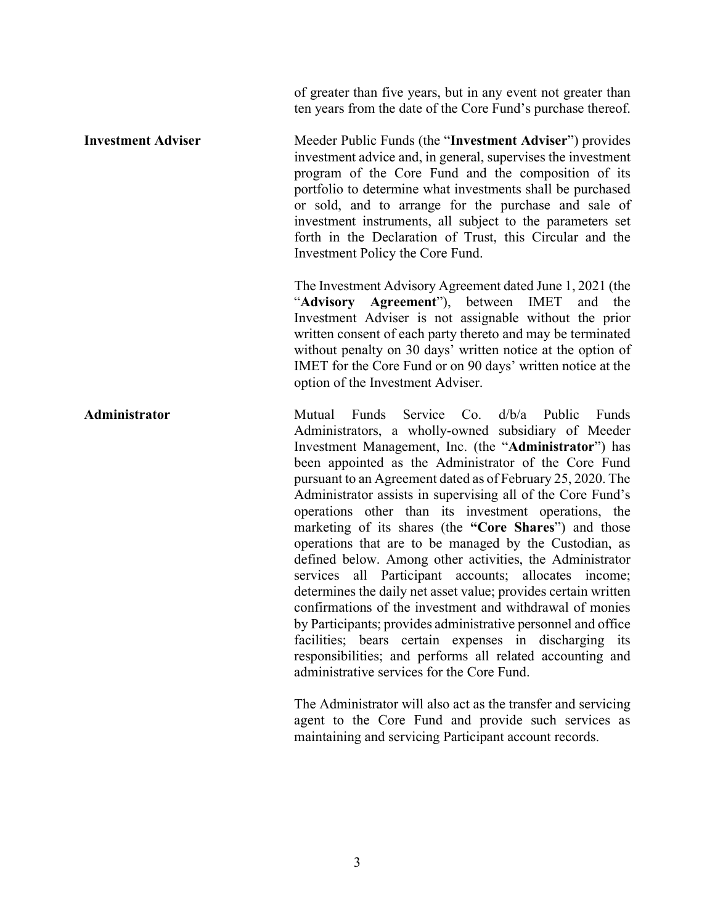of greater than five years, but in any event not greater than ten years from the date of the Core Fund's purchase thereof.

**Investment Adviser** Meeder Public Funds (the "Investment Adviser") provides investment advice and, in general, supervises the investment program of the Core Fund and the composition of its portfolio to determine what investments shall be purchased or sold, and to arrange for the purchase and sale of investment instruments, all subject to the parameters set forth in the Declaration of Trust, this Circular and the Investment Policy the Core Fund.

> The Investment Advisory Agreement dated June 1, 2021 (the "**Advisory Agreement**"), between IMET and the Investment Adviser is not assignable without the prior written consent of each party thereto and may be terminated without penalty on 30 days' written notice at the option of IMET for the Core Fund or on 90 days' written notice at the option of the Investment Adviser.

**Administrator Mutual Funds Service Co. d/b/a Public Funds** Administrators, a wholly-owned subsidiary of Meeder Investment Management, Inc. (the "**Administrator**") has been appointed as the Administrator of the Core Fund pursuant to an Agreement dated as of February 25, 2020. The Administrator assists in supervising all of the Core Fund's operations other than its investment operations, the marketing of its shares (the **"Core Shares**") and those operations that are to be managed by the Custodian, as defined below. Among other activities, the Administrator services all Participant accounts; allocates income; determines the daily net asset value; provides certain written confirmations of the investment and withdrawal of monies by Participants; provides administrative personnel and office facilities; bears certain expenses in discharging its responsibilities; and performs all related accounting and administrative services for the Core Fund.

> The Administrator will also act as the transfer and servicing agent to the Core Fund and provide such services as maintaining and servicing Participant account records.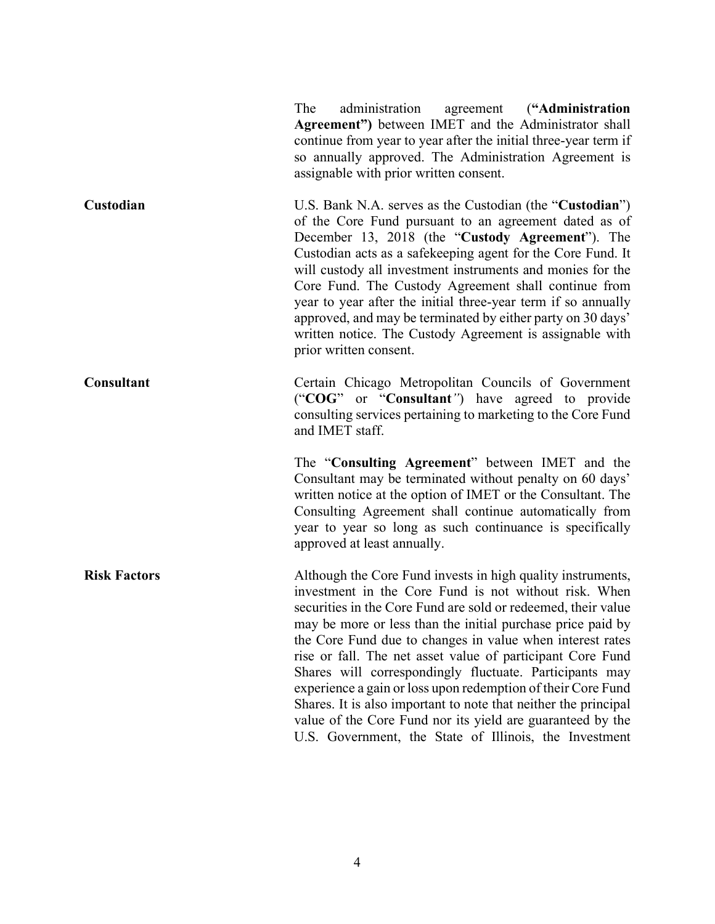|                     | The<br>administration<br>agreement ("Administration<br>Agreement") between IMET and the Administrator shall<br>continue from year to year after the initial three-year term if<br>so annually approved. The Administration Agreement is<br>assignable with prior written consent.                                                                                                                                                                                                                                                                                                                                                                                                                     |
|---------------------|-------------------------------------------------------------------------------------------------------------------------------------------------------------------------------------------------------------------------------------------------------------------------------------------------------------------------------------------------------------------------------------------------------------------------------------------------------------------------------------------------------------------------------------------------------------------------------------------------------------------------------------------------------------------------------------------------------|
| Custodian           | U.S. Bank N.A. serves as the Custodian (the "Custodian")<br>of the Core Fund pursuant to an agreement dated as of<br>December 13, 2018 (the "Custody Agreement"). The<br>Custodian acts as a safekeeping agent for the Core Fund. It<br>will custody all investment instruments and monies for the<br>Core Fund. The Custody Agreement shall continue from<br>year to year after the initial three-year term if so annually<br>approved, and may be terminated by either party on 30 days'<br>written notice. The Custody Agreement is assignable with<br>prior written consent.                                                                                                                      |
| <b>Consultant</b>   | Certain Chicago Metropolitan Councils of Government<br>("COG" or "Consultant") have agreed to provide<br>consulting services pertaining to marketing to the Core Fund<br>and IMET staff.                                                                                                                                                                                                                                                                                                                                                                                                                                                                                                              |
|                     | The "Consulting Agreement" between IMET and the<br>Consultant may be terminated without penalty on 60 days'<br>written notice at the option of IMET or the Consultant. The<br>Consulting Agreement shall continue automatically from<br>year to year so long as such continuance is specifically<br>approved at least annually.                                                                                                                                                                                                                                                                                                                                                                       |
| <b>Risk Factors</b> | Although the Core Fund invests in high quality instruments,<br>investment in the Core Fund is not without risk. When<br>securities in the Core Fund are sold or redeemed, their value<br>may be more or less than the initial purchase price paid by<br>the Core Fund due to changes in value when interest rates<br>rise or fall. The net asset value of participant Core Fund<br>Shares will correspondingly fluctuate. Participants may<br>experience a gain or loss upon redemption of their Core Fund<br>Shares. It is also important to note that neither the principal<br>value of the Core Fund nor its yield are guaranteed by the<br>U.S. Government, the State of Illinois, the Investment |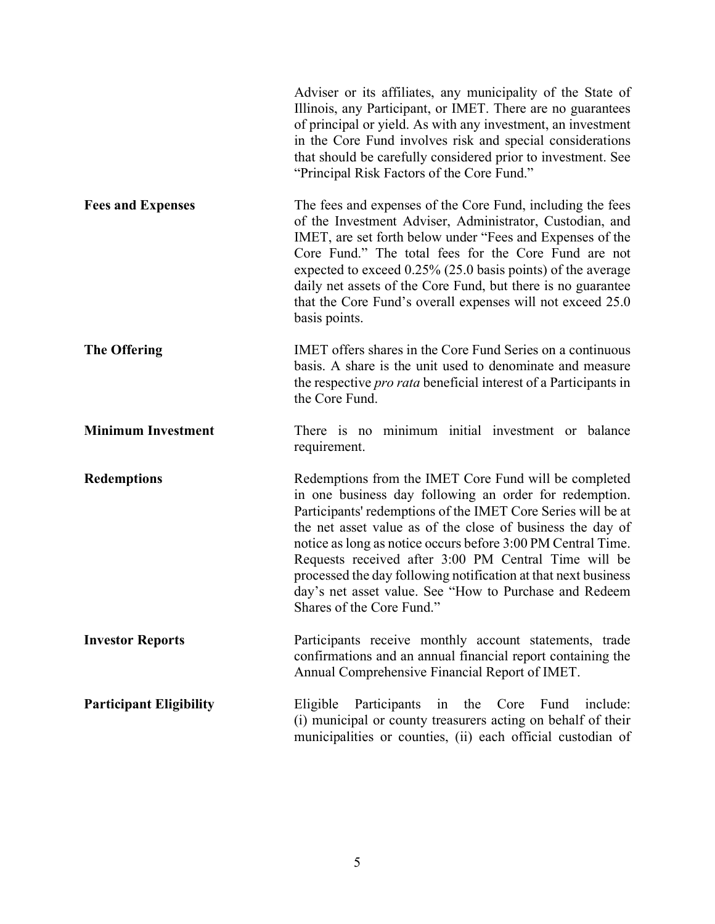|                                | Adviser or its affiliates, any municipality of the State of<br>Illinois, any Participant, or IMET. There are no guarantees<br>of principal or yield. As with any investment, an investment<br>in the Core Fund involves risk and special considerations<br>that should be carefully considered prior to investment. See<br>"Principal Risk Factors of the Core Fund."                                                                                                                                                          |
|--------------------------------|--------------------------------------------------------------------------------------------------------------------------------------------------------------------------------------------------------------------------------------------------------------------------------------------------------------------------------------------------------------------------------------------------------------------------------------------------------------------------------------------------------------------------------|
| <b>Fees and Expenses</b>       | The fees and expenses of the Core Fund, including the fees<br>of the Investment Adviser, Administrator, Custodian, and<br>IMET, are set forth below under "Fees and Expenses of the<br>Core Fund." The total fees for the Core Fund are not<br>expected to exceed 0.25% (25.0 basis points) of the average<br>daily net assets of the Core Fund, but there is no guarantee<br>that the Core Fund's overall expenses will not exceed 25.0<br>basis points.                                                                      |
| <b>The Offering</b>            | IMET offers shares in the Core Fund Series on a continuous<br>basis. A share is the unit used to denominate and measure<br>the respective <i>pro rata</i> beneficial interest of a Participants in<br>the Core Fund.                                                                                                                                                                                                                                                                                                           |
| <b>Minimum Investment</b>      | There is no minimum initial investment or balance<br>requirement.                                                                                                                                                                                                                                                                                                                                                                                                                                                              |
| <b>Redemptions</b>             | Redemptions from the IMET Core Fund will be completed<br>in one business day following an order for redemption.<br>Participants' redemptions of the IMET Core Series will be at<br>the net asset value as of the close of business the day of<br>notice as long as notice occurs before 3:00 PM Central Time.<br>Requests received after 3:00 PM Central Time will be<br>processed the day following notification at that next business<br>day's net asset value. See "How to Purchase and Redeem<br>Shares of the Core Fund." |
| <b>Investor Reports</b>        | Participants receive monthly account statements, trade<br>confirmations and an annual financial report containing the<br>Annual Comprehensive Financial Report of IMET.                                                                                                                                                                                                                                                                                                                                                        |
| <b>Participant Eligibility</b> | Participants<br>the<br>Core<br>Fund<br>Eligible<br>in<br>include:<br>(i) municipal or county treasurers acting on behalf of their<br>municipalities or counties, (ii) each official custodian of                                                                                                                                                                                                                                                                                                                               |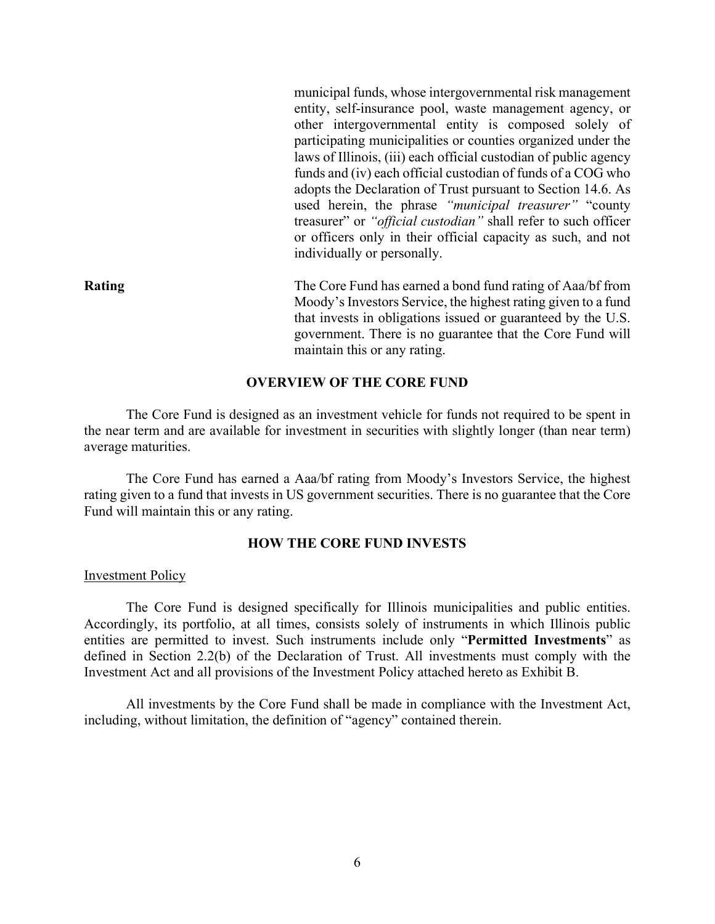municipal funds, whose intergovernmental risk management entity, self-insurance pool, waste management agency, or other intergovernmental entity is composed solely of participating municipalities or counties organized under the laws of Illinois, (iii) each official custodian of public agency funds and (iv) each official custodian of funds of a COG who adopts the Declaration of Trust pursuant to Section 14.6. As used herein, the phrase *"municipal treasurer"* "county treasurer" or *"official custodian"* shall refer to such officer or officers only in their official capacity as such, and not individually or personally.

**Rating** The Core Fund has earned a bond fund rating of Aaa/bf from Moody's Investors Service, the highest rating given to a fund that invests in obligations issued or guaranteed by the U.S. government. There is no guarantee that the Core Fund will maintain this or any rating.

### **OVERVIEW OF THE CORE FUND**

The Core Fund is designed as an investment vehicle for funds not required to be spent in the near term and are available for investment in securities with slightly longer (than near term) average maturities.

The Core Fund has earned a Aaa/bf rating from Moody's Investors Service, the highest rating given to a fund that invests in US government securities. There is no guarantee that the Core Fund will maintain this or any rating.

### **HOW THE CORE FUND INVESTS**

#### Investment Policy

The Core Fund is designed specifically for Illinois municipalities and public entities. Accordingly, its portfolio, at all times, consists solely of instruments in which Illinois public entities are permitted to invest. Such instruments include only "**Permitted Investments**" as defined in Section 2.2(b) of the Declaration of Trust. All investments must comply with the Investment Act and all provisions of the Investment Policy attached hereto as Exhibit B.

All investments by the Core Fund shall be made in compliance with the Investment Act, including, without limitation, the definition of "agency" contained therein.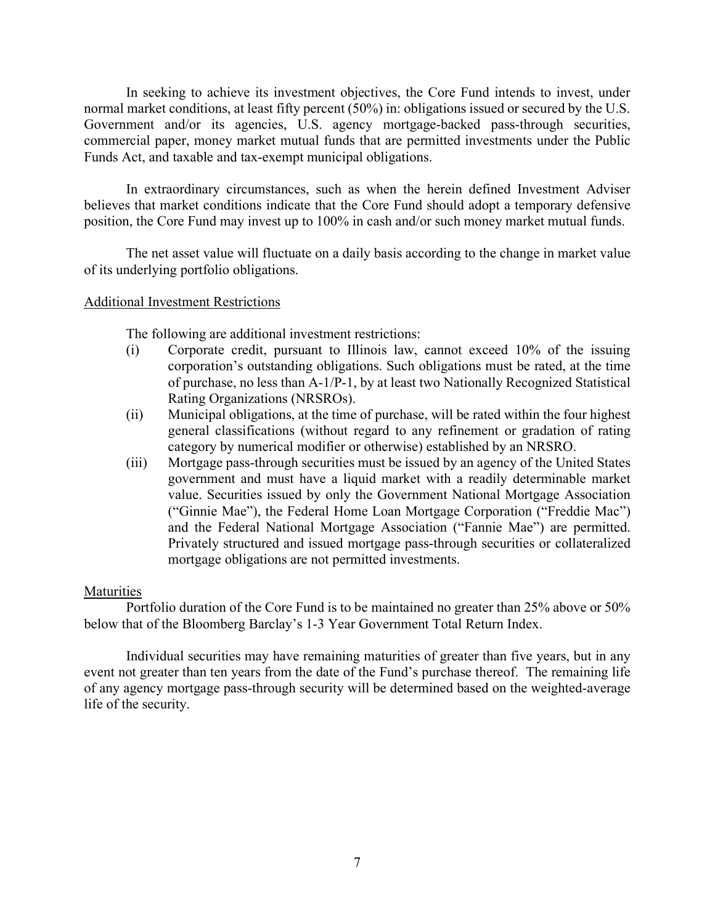In seeking to achieve its investment objectives, the Core Fund intends to invest, under normal market conditions, at least fifty percent (50%) in: obligations issued or secured by the U.S. Government and/or its agencies, U.S. agency mortgage-backed pass-through securities, commercial paper, money market mutual funds that are permitted investments under the Public Funds Act, and taxable and tax-exempt municipal obligations.

In extraordinary circumstances, such as when the herein defined Investment Adviser believes that market conditions indicate that the Core Fund should adopt a temporary defensive position, the Core Fund may invest up to 100% in cash and/or such money market mutual funds.

The net asset value will fluctuate on a daily basis according to the change in market value of its underlying portfolio obligations.

### Additional Investment Restrictions

The following are additional investment restrictions:

- (i) Corporate credit, pursuant to Illinois law, cannot exceed 10% of the issuing corporation's outstanding obligations. Such obligations must be rated, at the time of purchase, no less than A-1/P-1, by at least two Nationally Recognized Statistical Rating Organizations (NRSROs).
- (ii) Municipal obligations, at the time of purchase, will be rated within the four highest general classifications (without regard to any refinement or gradation of rating category by numerical modifier or otherwise) established by an NRSRO.
- (iii) Mortgage pass-through securities must be issued by an agency of the United States government and must have a liquid market with a readily determinable market value. Securities issued by only the Government National Mortgage Association ("Ginnie Mae"), the Federal Home Loan Mortgage Corporation ("Freddie Mac") and the Federal National Mortgage Association ("Fannie Mae") are permitted. Privately structured and issued mortgage pass-through securities or collateralized mortgage obligations are not permitted investments.

### **Maturities**

Portfolio duration of the Core Fund is to be maintained no greater than 25% above or 50% below that of the Bloomberg Barclay's 1-3 Year Government Total Return Index.

Individual securities may have remaining maturities of greater than five years, but in any event not greater than ten years from the date of the Fund's purchase thereof. The remaining life of any agency mortgage pass-through security will be determined based on the weighted-average life of the security.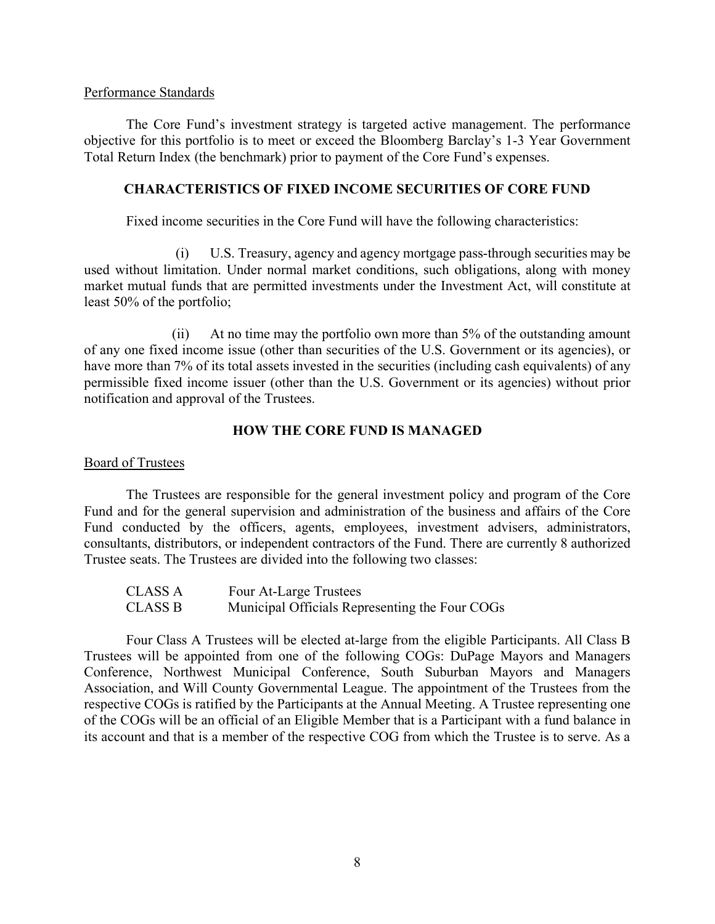### Performance Standards

The Core Fund's investment strategy is targeted active management. The performance objective for this portfolio is to meet or exceed the Bloomberg Barclay's 1-3 Year Government Total Return Index (the benchmark) prior to payment of the Core Fund's expenses.

# **CHARACTERISTICS OF FIXED INCOME SECURITIES OF CORE FUND**

Fixed income securities in the Core Fund will have the following characteristics:

(i) U.S. Treasury, agency and agency mortgage pass-through securities may be used without limitation. Under normal market conditions, such obligations, along with money market mutual funds that are permitted investments under the Investment Act, will constitute at least 50% of the portfolio;

(ii) At no time may the portfolio own more than 5% of the outstanding amount of any one fixed income issue (other than securities of the U.S. Government or its agencies), or have more than 7% of its total assets invested in the securities (including cash equivalents) of any permissible fixed income issuer (other than the U.S. Government or its agencies) without prior notification and approval of the Trustees.

# **HOW THE CORE FUND IS MANAGED**

# Board of Trustees

The Trustees are responsible for the general investment policy and program of the Core Fund and for the general supervision and administration of the business and affairs of the Core Fund conducted by the officers, agents, employees, investment advisers, administrators, consultants, distributors, or independent contractors of the Fund. There are currently 8 authorized Trustee seats. The Trustees are divided into the following two classes:

| CLASS A | Four At-Large Trustees                         |
|---------|------------------------------------------------|
| CLASS B | Municipal Officials Representing the Four COGs |

Four Class A Trustees will be elected at-large from the eligible Participants. All Class B Trustees will be appointed from one of the following COGs: DuPage Mayors and Managers Conference, Northwest Municipal Conference, South Suburban Mayors and Managers Association, and Will County Governmental League. The appointment of the Trustees from the respective COGs is ratified by the Participants at the Annual Meeting. A Trustee representing one of the COGs will be an official of an Eligible Member that is a Participant with a fund balance in its account and that is a member of the respective COG from which the Trustee is to serve. As a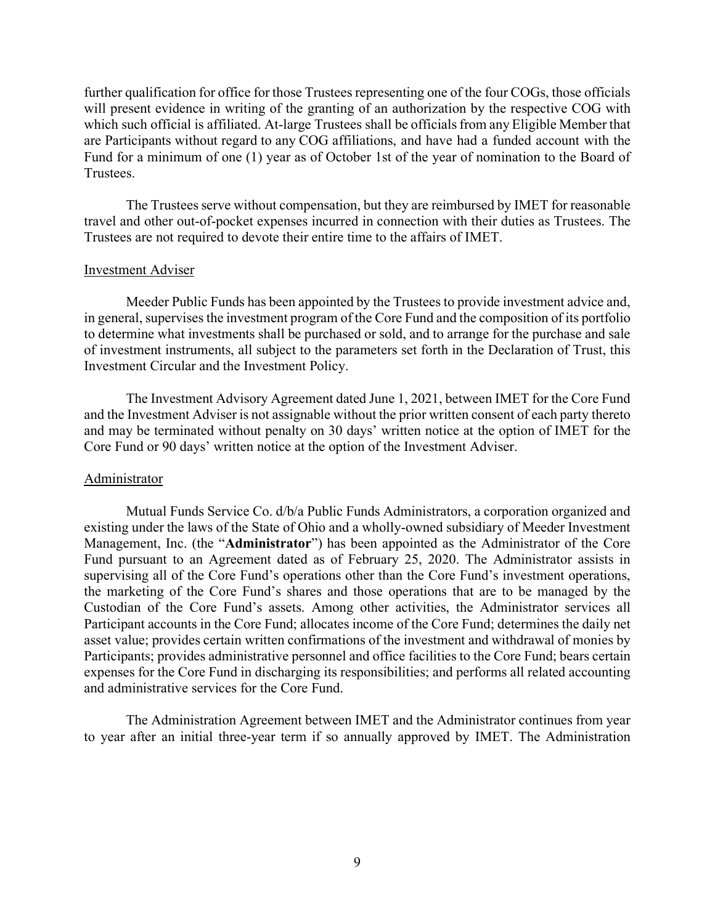further qualification for office for those Trustees representing one of the four COGs, those officials will present evidence in writing of the granting of an authorization by the respective COG with which such official is affiliated. At-large Trustees shall be officials from any Eligible Member that are Participants without regard to any COG affiliations, and have had a funded account with the Fund for a minimum of one (1) year as of October 1st of the year of nomination to the Board of Trustees.

The Trustees serve without compensation, but they are reimbursed by IMET for reasonable travel and other out-of-pocket expenses incurred in connection with their duties as Trustees. The Trustees are not required to devote their entire time to the affairs of IMET.

### Investment Adviser

Meeder Public Funds has been appointed by the Trustees to provide investment advice and, in general, supervises the investment program of the Core Fund and the composition of its portfolio to determine what investments shall be purchased or sold, and to arrange for the purchase and sale of investment instruments, all subject to the parameters set forth in the Declaration of Trust, this Investment Circular and the Investment Policy.

The Investment Advisory Agreement dated June 1, 2021, between IMET for the Core Fund and the Investment Adviser is not assignable without the prior written consent of each party thereto and may be terminated without penalty on 30 days' written notice at the option of IMET for the Core Fund or 90 days' written notice at the option of the Investment Adviser.

### Administrator

Mutual Funds Service Co. d/b/a Public Funds Administrators, a corporation organized and existing under the laws of the State of Ohio and a wholly-owned subsidiary of Meeder Investment Management, Inc. (the "**Administrator**") has been appointed as the Administrator of the Core Fund pursuant to an Agreement dated as of February 25, 2020. The Administrator assists in supervising all of the Core Fund's operations other than the Core Fund's investment operations, the marketing of the Core Fund's shares and those operations that are to be managed by the Custodian of the Core Fund's assets. Among other activities, the Administrator services all Participant accounts in the Core Fund; allocates income of the Core Fund; determines the daily net asset value; provides certain written confirmations of the investment and withdrawal of monies by Participants; provides administrative personnel and office facilities to the Core Fund; bears certain expenses for the Core Fund in discharging its responsibilities; and performs all related accounting and administrative services for the Core Fund.

The Administration Agreement between IMET and the Administrator continues from year to year after an initial three-year term if so annually approved by IMET. The Administration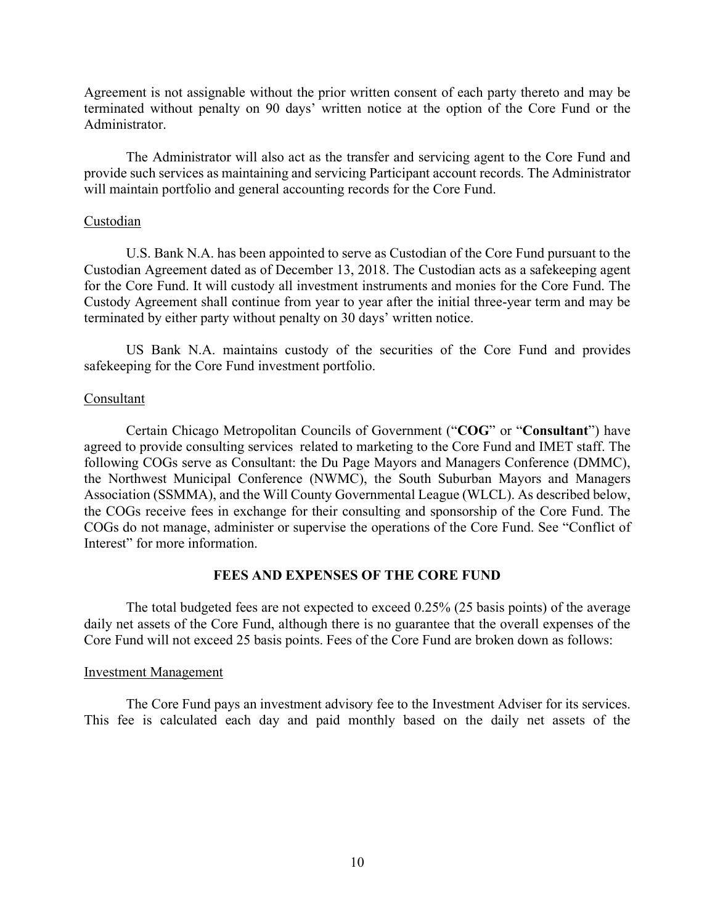Agreement is not assignable without the prior written consent of each party thereto and may be terminated without penalty on 90 days' written notice at the option of the Core Fund or the Administrator.

The Administrator will also act as the transfer and servicing agent to the Core Fund and provide such services as maintaining and servicing Participant account records. The Administrator will maintain portfolio and general accounting records for the Core Fund.

### Custodian

U.S. Bank N.A. has been appointed to serve as Custodian of the Core Fund pursuant to the Custodian Agreement dated as of December 13, 2018. The Custodian acts as a safekeeping agent for the Core Fund. It will custody all investment instruments and monies for the Core Fund. The Custody Agreement shall continue from year to year after the initial three-year term and may be terminated by either party without penalty on 30 days' written notice.

US Bank N.A. maintains custody of the securities of the Core Fund and provides safekeeping for the Core Fund investment portfolio.

### Consultant

Certain Chicago Metropolitan Councils of Government ("**COG**" or "**Consultant**") have agreed to provide consulting services related to marketing to the Core Fund and IMET staff. The following COGs serve as Consultant: the Du Page Mayors and Managers Conference (DMMC), the Northwest Municipal Conference (NWMC), the South Suburban Mayors and Managers Association (SSMMA), and the Will County Governmental League (WLCL). As described below, the COGs receive fees in exchange for their consulting and sponsorship of the Core Fund. The COGs do not manage, administer or supervise the operations of the Core Fund. See "Conflict of Interest" for more information.

### **FEES AND EXPENSES OF THE CORE FUND**

The total budgeted fees are not expected to exceed 0.25% (25 basis points) of the average daily net assets of the Core Fund, although there is no guarantee that the overall expenses of the Core Fund will not exceed 25 basis points. Fees of the Core Fund are broken down as follows:

#### Investment Management

The Core Fund pays an investment advisory fee to the Investment Adviser for its services. This fee is calculated each day and paid monthly based on the daily net assets of the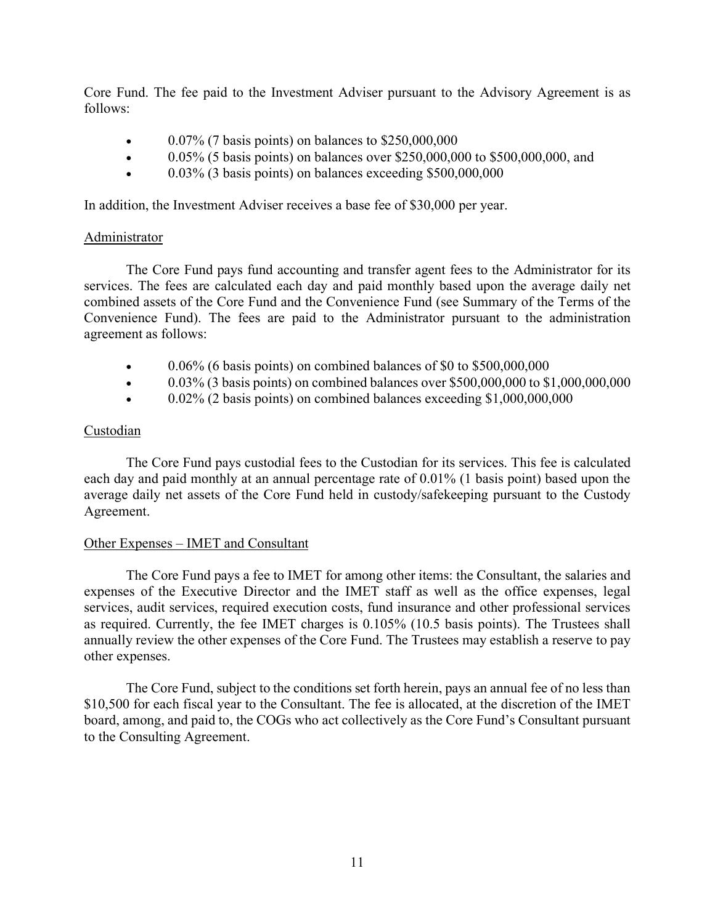Core Fund. The fee paid to the Investment Adviser pursuant to the Advisory Agreement is as follows:

- 0.07% (7 basis points) on balances to \$250,000,000
- 0.05% (5 basis points) on balances over \$250,000,000 to \$500,000,000, and
- 0.03% (3 basis points) on balances exceeding \$500,000,000

In addition, the Investment Adviser receives a base fee of \$30,000 per year.

# Administrator

The Core Fund pays fund accounting and transfer agent fees to the Administrator for its services. The fees are calculated each day and paid monthly based upon the average daily net combined assets of the Core Fund and the Convenience Fund (see Summary of the Terms of the Convenience Fund). The fees are paid to the Administrator pursuant to the administration agreement as follows:

- $\bullet$  0.06% (6 basis points) on combined balances of \$0 to \$500,000,000
- 0.03% (3 basis points) on combined balances over \$500,000,000 to \$1,000,000,000
- $\bullet$  0.02% (2 basis points) on combined balances exceeding \$1,000,000,000

# Custodian

The Core Fund pays custodial fees to the Custodian for its services. This fee is calculated each day and paid monthly at an annual percentage rate of 0.01% (1 basis point) based upon the average daily net assets of the Core Fund held in custody/safekeeping pursuant to the Custody Agreement.

# Other Expenses – IMET and Consultant

The Core Fund pays a fee to IMET for among other items: the Consultant, the salaries and expenses of the Executive Director and the IMET staff as well as the office expenses, legal services, audit services, required execution costs, fund insurance and other professional services as required. Currently, the fee IMET charges is 0.105% (10.5 basis points). The Trustees shall annually review the other expenses of the Core Fund. The Trustees may establish a reserve to pay other expenses.

The Core Fund, subject to the conditions set forth herein, pays an annual fee of no less than \$10,500 for each fiscal year to the Consultant. The fee is allocated, at the discretion of the IMET board, among, and paid to, the COGs who act collectively as the Core Fund's Consultant pursuant to the Consulting Agreement.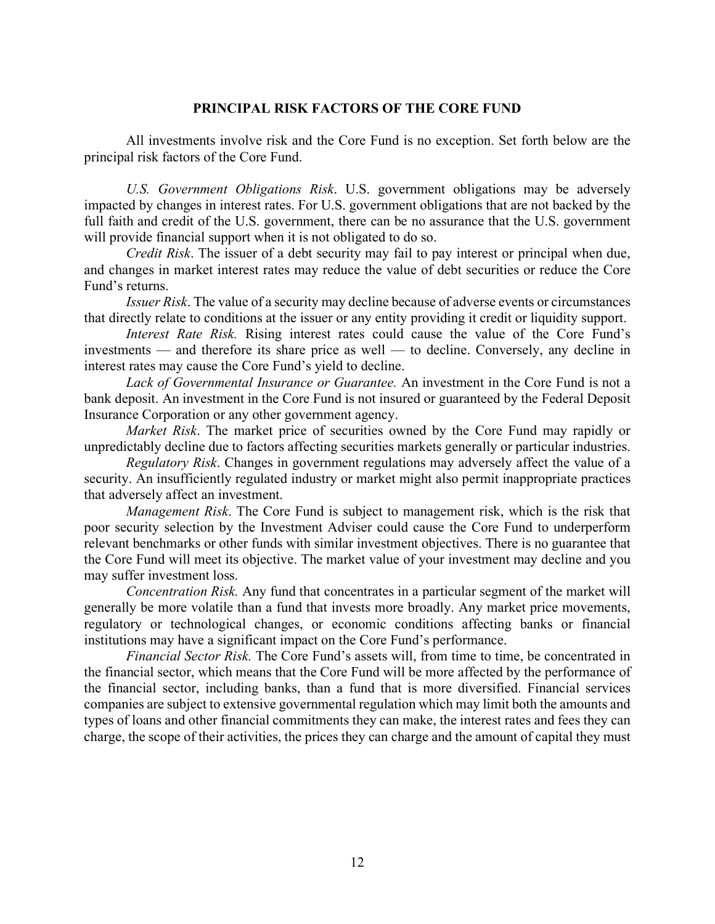### **PRINCIPAL RISK FACTORS OF THE CORE FUND**

All investments involve risk and the Core Fund is no exception. Set forth below are the principal risk factors of the Core Fund.

*U.S. Government Obligations Risk*. U.S. government obligations may be adversely impacted by changes in interest rates. For U.S. government obligations that are not backed by the full faith and credit of the U.S. government, there can be no assurance that the U.S. government will provide financial support when it is not obligated to do so.

*Credit Risk*. The issuer of a debt security may fail to pay interest or principal when due, and changes in market interest rates may reduce the value of debt securities or reduce the Core Fund's returns.

*Issuer Risk*. The value of a security may decline because of adverse events or circumstances that directly relate to conditions at the issuer or any entity providing it credit or liquidity support.

*Interest Rate Risk.* Rising interest rates could cause the value of the Core Fund's investments — and therefore its share price as well — to decline. Conversely, any decline in interest rates may cause the Core Fund's yield to decline.

*Lack of Governmental Insurance or Guarantee.* An investment in the Core Fund is not a bank deposit. An investment in the Core Fund is not insured or guaranteed by the Federal Deposit Insurance Corporation or any other government agency.

*Market Risk*. The market price of securities owned by the Core Fund may rapidly or unpredictably decline due to factors affecting securities markets generally or particular industries.

*Regulatory Risk*. Changes in government regulations may adversely affect the value of a security. An insufficiently regulated industry or market might also permit inappropriate practices that adversely affect an investment.

*Management Risk*. The Core Fund is subject to management risk, which is the risk that poor security selection by the Investment Adviser could cause the Core Fund to underperform relevant benchmarks or other funds with similar investment objectives. There is no guarantee that the Core Fund will meet its objective. The market value of your investment may decline and you may suffer investment loss.

*Concentration Risk.* Any fund that concentrates in a particular segment of the market will generally be more volatile than a fund that invests more broadly. Any market price movements, regulatory or technological changes, or economic conditions affecting banks or financial institutions may have a significant impact on the Core Fund's performance.

*Financial Sector Risk.* The Core Fund's assets will, from time to time, be concentrated in the financial sector, which means that the Core Fund will be more affected by the performance of the financial sector, including banks, than a fund that is more diversified. Financial services companies are subject to extensive governmental regulation which may limit both the amounts and types of loans and other financial commitments they can make, the interest rates and fees they can charge, the scope of their activities, the prices they can charge and the amount of capital they must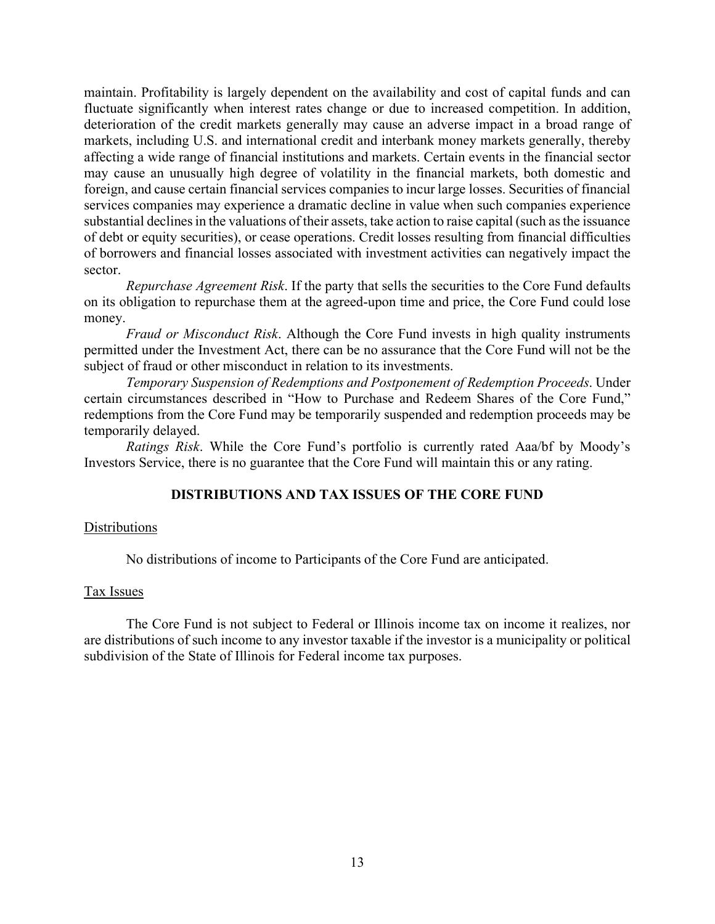maintain. Profitability is largely dependent on the availability and cost of capital funds and can fluctuate significantly when interest rates change or due to increased competition. In addition, deterioration of the credit markets generally may cause an adverse impact in a broad range of markets, including U.S. and international credit and interbank money markets generally, thereby affecting a wide range of financial institutions and markets. Certain events in the financial sector may cause an unusually high degree of volatility in the financial markets, both domestic and foreign, and cause certain financial services companies to incur large losses. Securities of financial services companies may experience a dramatic decline in value when such companies experience substantial declines in the valuations of their assets, take action to raise capital (such as the issuance of debt or equity securities), or cease operations. Credit losses resulting from financial difficulties of borrowers and financial losses associated with investment activities can negatively impact the sector.

*Repurchase Agreement Risk*. If the party that sells the securities to the Core Fund defaults on its obligation to repurchase them at the agreed-upon time and price, the Core Fund could lose money.

*Fraud or Misconduct Risk*. Although the Core Fund invests in high quality instruments permitted under the Investment Act, there can be no assurance that the Core Fund will not be the subject of fraud or other misconduct in relation to its investments.

*Temporary Suspension of Redemptions and Postponement of Redemption Proceeds*. Under certain circumstances described in "How to Purchase and Redeem Shares of the Core Fund," redemptions from the Core Fund may be temporarily suspended and redemption proceeds may be temporarily delayed.

*Ratings Risk*. While the Core Fund's portfolio is currently rated Aaa/bf by Moody's Investors Service, there is no guarantee that the Core Fund will maintain this or any rating.

# **DISTRIBUTIONS AND TAX ISSUES OF THE CORE FUND**

# **Distributions**

No distributions of income to Participants of the Core Fund are anticipated.

# Tax Issues

The Core Fund is not subject to Federal or Illinois income tax on income it realizes, nor are distributions of such income to any investor taxable if the investor is a municipality or political subdivision of the State of Illinois for Federal income tax purposes.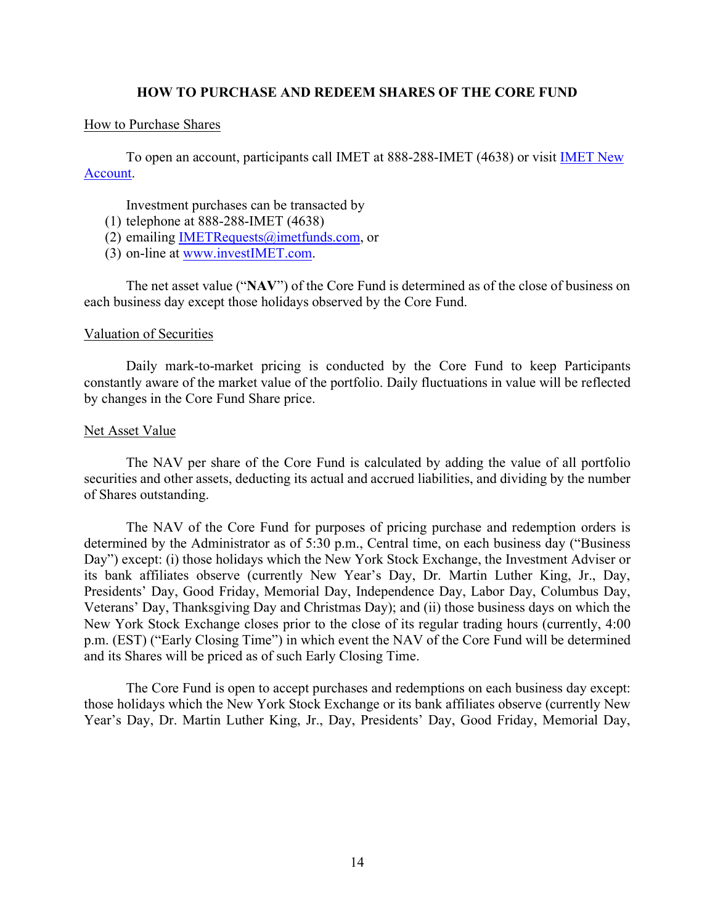### **HOW TO PURCHASE AND REDEEM SHARES OF THE CORE FUND**

### How to Purchase Shares

To open an account, participants call IMET at 888-288-IMET (4638) or visit [IMET New](https://www.investimet.com/content/documents/imet_new_account_kit_v7.pdf)  [Account.](https://www.investimet.com/content/documents/imet_new_account_kit_v7.pdf)

Investment purchases can be transacted by

- (1) telephone at 888-288-IMET (4638)
- (2) emailing IMETRequests $@$  imetfunds.com, or
- (3) on-line at [www.investIMET.com.](http://www.investimet.com/)

The net asset value ("**NAV**") of the Core Fund is determined as of the close of business on each business day except those holidays observed by the Core Fund.

### Valuation of Securities

Daily mark-to-market pricing is conducted by the Core Fund to keep Participants constantly aware of the market value of the portfolio. Daily fluctuations in value will be reflected by changes in the Core Fund Share price.

### Net Asset Value

The NAV per share of the Core Fund is calculated by adding the value of all portfolio securities and other assets, deducting its actual and accrued liabilities, and dividing by the number of Shares outstanding.

The NAV of the Core Fund for purposes of pricing purchase and redemption orders is determined by the Administrator as of 5:30 p.m., Central time, on each business day ("Business Day") except: (i) those holidays which the New York Stock Exchange, the Investment Adviser or its bank affiliates observe (currently New Year's Day, Dr. Martin Luther King, Jr., Day, Presidents' Day, Good Friday, Memorial Day, Independence Day, Labor Day, Columbus Day, Veterans' Day, Thanksgiving Day and Christmas Day); and (ii) those business days on which the New York Stock Exchange closes prior to the close of its regular trading hours (currently, 4:00 p.m. (EST) ("Early Closing Time") in which event the NAV of the Core Fund will be determined and its Shares will be priced as of such Early Closing Time.

The Core Fund is open to accept purchases and redemptions on each business day except: those holidays which the New York Stock Exchange or its bank affiliates observe (currently New Year's Day, Dr. Martin Luther King, Jr., Day, Presidents' Day, Good Friday, Memorial Day,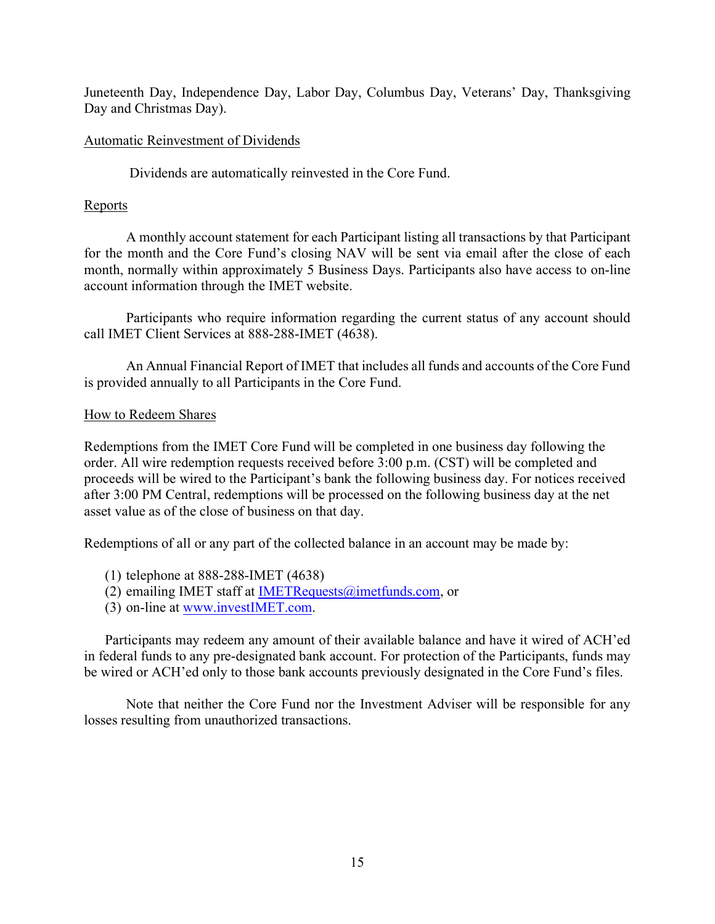Juneteenth Day, Independence Day, Labor Day, Columbus Day, Veterans' Day, Thanksgiving Day and Christmas Day).

# Automatic Reinvestment of Dividends

Dividends are automatically reinvested in the Core Fund.

# **Reports**

A monthly account statement for each Participant listing all transactions by that Participant for the month and the Core Fund's closing NAV will be sent via email after the close of each month, normally within approximately 5 Business Days. Participants also have access to on-line account information through the IMET website.

Participants who require information regarding the current status of any account should call IMET Client Services at 888-288-IMET (4638).

An Annual Financial Report of IMET that includes all funds and accounts of the Core Fund is provided annually to all Participants in the Core Fund.

# How to Redeem Shares

Redemptions from the IMET Core Fund will be completed in one business day following the order. All wire redemption requests received before 3:00 p.m. (CST) will be completed and proceeds will be wired to the Participant's bank the following business day. For notices received after 3:00 PM Central, redemptions will be processed on the following business day at the net asset value as of the close of business on that day.

Redemptions of all or any part of the collected balance in an account may be made by:

- (1) telephone at 888-288-IMET (4638)
- (2) emailing IMET staff at IMETRequests $@$  imetfunds.com, or
- (3) on-line at [www.investIMET.com.](http://www.investimet.com/)

Participants may redeem any amount of their available balance and have it wired of ACH'ed in federal funds to any pre-designated bank account. For protection of the Participants, funds may be wired or ACH'ed only to those bank accounts previously designated in the Core Fund's files.

Note that neither the Core Fund nor the Investment Adviser will be responsible for any losses resulting from unauthorized transactions.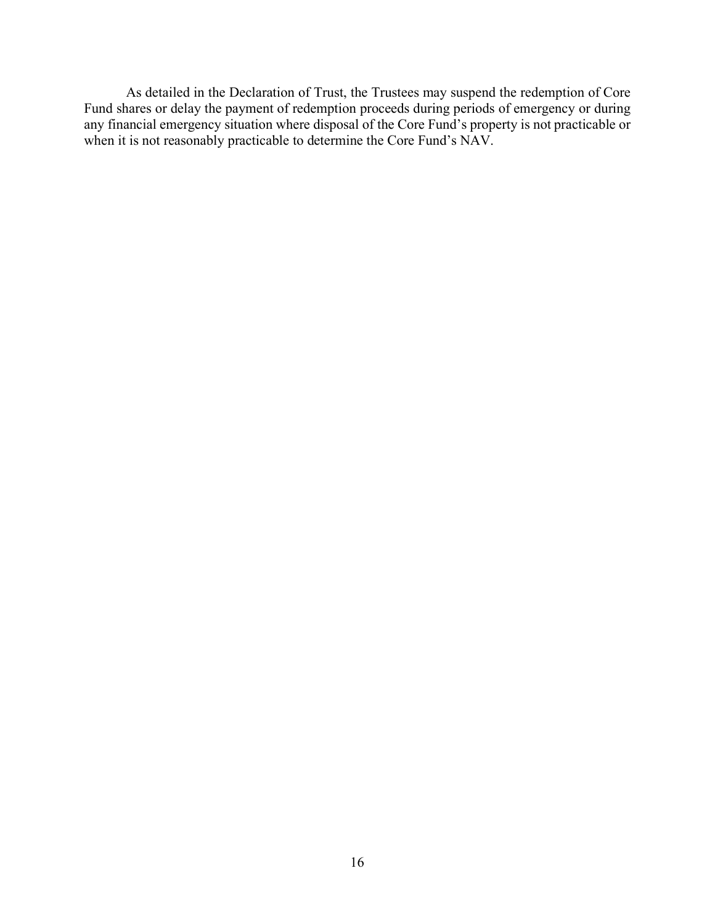As detailed in the Declaration of Trust, the Trustees may suspend the redemption of Core Fund shares or delay the payment of redemption proceeds during periods of emergency or during any financial emergency situation where disposal of the Core Fund's property is not practicable or when it is not reasonably practicable to determine the Core Fund's NAV.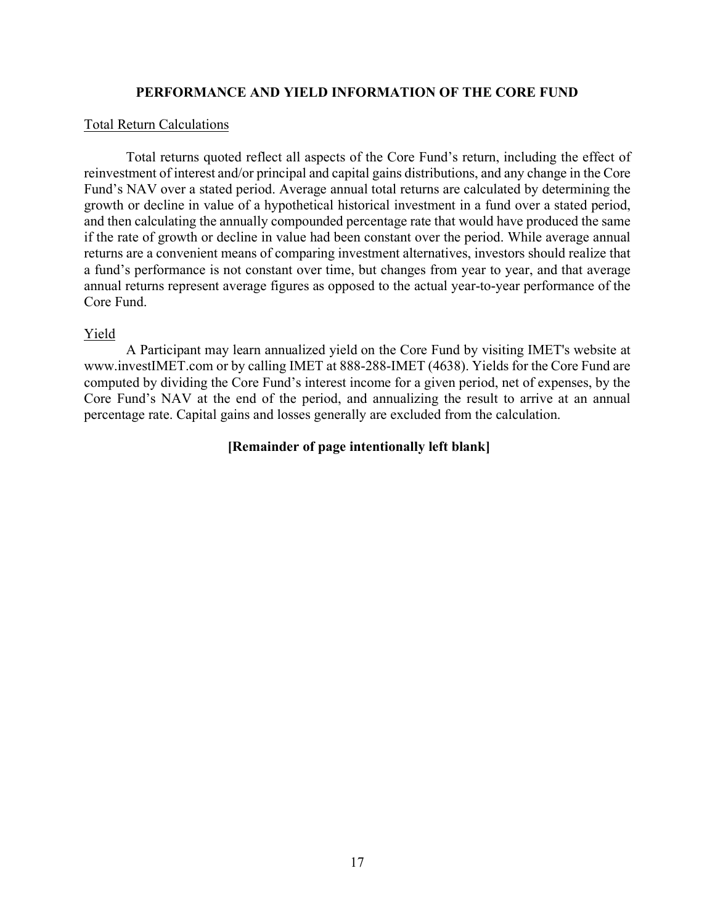# **PERFORMANCE AND YIELD INFORMATION OF THE CORE FUND**

### Total Return Calculations

Total returns quoted reflect all aspects of the Core Fund's return, including the effect of reinvestment of interest and/or principal and capital gains distributions, and any change in the Core Fund's NAV over a stated period. Average annual total returns are calculated by determining the growth or decline in value of a hypothetical historical investment in a fund over a stated period, and then calculating the annually compounded percentage rate that would have produced the same if the rate of growth or decline in value had been constant over the period. While average annual returns are a convenient means of comparing investment alternatives, investors should realize that a fund's performance is not constant over time, but changes from year to year, and that average annual returns represent average figures as opposed to the actual year-to-year performance of the Core Fund.

# Yield

A Participant may learn annualized yield on the Core Fund by visiting IMET's website at www.investIMET.com or by calling IMET at 888-288-IMET (4638). Yields for the Core Fund are computed by dividing the Core Fund's interest income for a given period, net of expenses, by the Core Fund's NAV at the end of the period, and annualizing the result to arrive at an annual percentage rate. Capital gains and losses generally are excluded from the calculation.

# **[Remainder of page intentionally left blank]**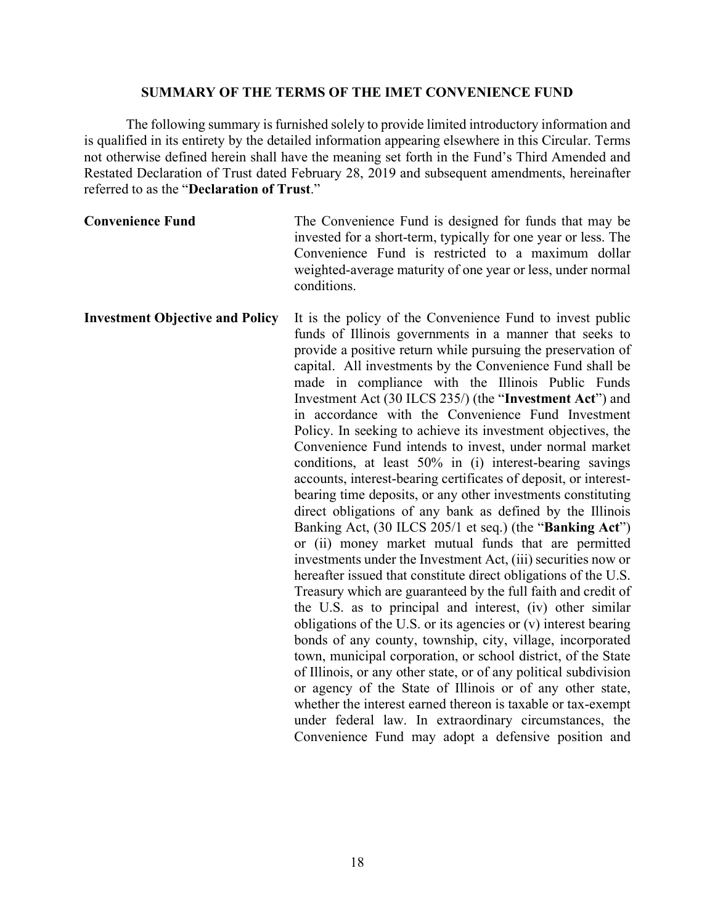### **SUMMARY OF THE TERMS OF THE IMET CONVENIENCE FUND**

The following summary is furnished solely to provide limited introductory information and is qualified in its entirety by the detailed information appearing elsewhere in this Circular. Terms not otherwise defined herein shall have the meaning set forth in the Fund's Third Amended and Restated Declaration of Trust dated February 28, 2019 and subsequent amendments, hereinafter referred to as the "**Declaration of Trust**."

| <b>Convenience Fund</b> | The Convenience Fund is designed for funds that may be         |
|-------------------------|----------------------------------------------------------------|
|                         | invested for a short-term, typically for one year or less. The |
|                         | Convenience Fund is restricted to a maximum dollar             |
|                         | weighted-average maturity of one year or less, under normal    |
|                         | conditions.                                                    |

**Investment Objective and Policy** It is the policy of the Convenience Fund to invest public funds of Illinois governments in a manner that seeks to provide a positive return while pursuing the preservation of capital. All investments by the Convenience Fund shall be made in compliance with the Illinois Public Funds Investment Act (30 ILCS 235/) (the "**Investment Act**") and in accordance with the Convenience Fund Investment Policy. In seeking to achieve its investment objectives, the Convenience Fund intends to invest, under normal market conditions, at least 50% in (i) interest-bearing savings accounts, interest-bearing certificates of deposit, or interestbearing time deposits, or any other investments constituting direct obligations of any bank as defined by the Illinois Banking Act, (30 ILCS 205/1 et seq.) (the "**Banking Act**") or (ii) money market mutual funds that are permitted investments under the Investment Act, (iii) securities now or hereafter issued that constitute direct obligations of the U.S. Treasury which are guaranteed by the full faith and credit of the U.S. as to principal and interest, (iv) other similar obligations of the U.S. or its agencies or (v) interest bearing bonds of any county, township, city, village, incorporated town, municipal corporation, or school district, of the State of Illinois, or any other state, or of any political subdivision or agency of the State of Illinois or of any other state, whether the interest earned thereon is taxable or tax-exempt under federal law. In extraordinary circumstances, the Convenience Fund may adopt a defensive position and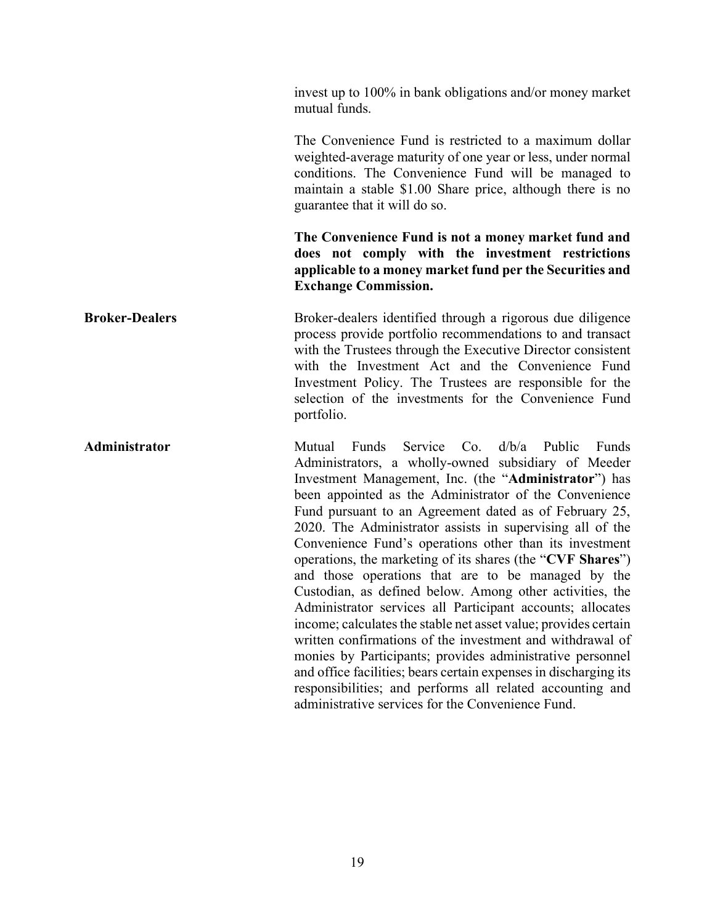invest up to 100% in bank obligations and/or money market mutual funds. The Convenience Fund is restricted to a maximum dollar weighted-average maturity of one year or less, under normal conditions. The Convenience Fund will be managed to maintain a stable \$1.00 Share price, although there is no guarantee that it will do so. **The Convenience Fund is not a money market fund and does not comply with the investment restrictions applicable to a money market fund per the Securities and Exchange Commission. Broker-Dealers** Broker-dealers identified through a rigorous due diligence process provide portfolio recommendations to and transact with the Trustees through the Executive Director consistent with the Investment Act and the Convenience Fund Investment Policy. The Trustees are responsible for the selection of the investments for the Convenience Fund portfolio. **Administrator** Mutual Funds Service Co. d/b/a Public Funds Administrators, a wholly-owned subsidiary of Meeder Investment Management, Inc. (the "**Administrator**") has been appointed as the Administrator of the Convenience Fund pursuant to an Agreement dated as of February 25, 2020. The Administrator assists in supervising all of the Convenience Fund's operations other than its investment operations, the marketing of its shares (the "**CVF Shares**") and those operations that are to be managed by the Custodian, as defined below. Among other activities, the Administrator services all Participant accounts; allocates income; calculates the stable net asset value; provides certain written confirmations of the investment and withdrawal of monies by Participants; provides administrative personnel and office facilities; bears certain expenses in discharging its responsibilities; and performs all related accounting and administrative services for the Convenience Fund.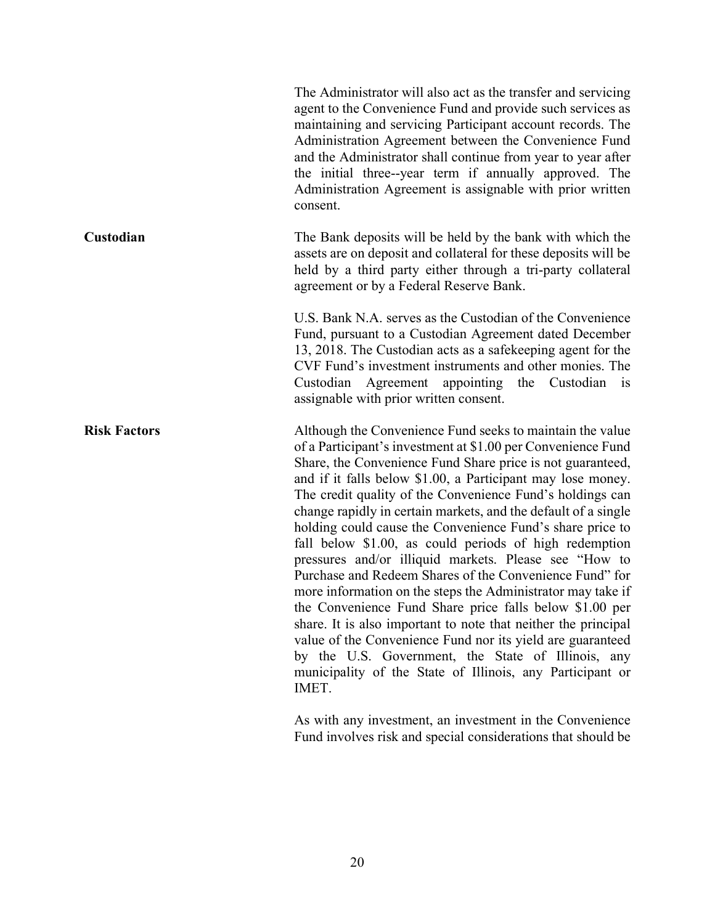|                     | The Administrator will also act as the transfer and servicing<br>agent to the Convenience Fund and provide such services as<br>maintaining and servicing Participant account records. The<br>Administration Agreement between the Convenience Fund<br>and the Administrator shall continue from year to year after<br>the initial three--year term if annually approved. The<br>Administration Agreement is assignable with prior written<br>consent.                                                                                                                                                                                                                                                                                                                                                                                                                                                                                                                                                                  |
|---------------------|------------------------------------------------------------------------------------------------------------------------------------------------------------------------------------------------------------------------------------------------------------------------------------------------------------------------------------------------------------------------------------------------------------------------------------------------------------------------------------------------------------------------------------------------------------------------------------------------------------------------------------------------------------------------------------------------------------------------------------------------------------------------------------------------------------------------------------------------------------------------------------------------------------------------------------------------------------------------------------------------------------------------|
| Custodian           | The Bank deposits will be held by the bank with which the<br>assets are on deposit and collateral for these deposits will be<br>held by a third party either through a tri-party collateral<br>agreement or by a Federal Reserve Bank.                                                                                                                                                                                                                                                                                                                                                                                                                                                                                                                                                                                                                                                                                                                                                                                 |
|                     | U.S. Bank N.A. serves as the Custodian of the Convenience<br>Fund, pursuant to a Custodian Agreement dated December<br>13, 2018. The Custodian acts as a safekeeping agent for the<br>CVF Fund's investment instruments and other monies. The<br>Custodian Agreement appointing the Custodian is<br>assignable with prior written consent.                                                                                                                                                                                                                                                                                                                                                                                                                                                                                                                                                                                                                                                                             |
| <b>Risk Factors</b> | Although the Convenience Fund seeks to maintain the value<br>of a Participant's investment at \$1.00 per Convenience Fund<br>Share, the Convenience Fund Share price is not guaranteed,<br>and if it falls below \$1.00, a Participant may lose money.<br>The credit quality of the Convenience Fund's holdings can<br>change rapidly in certain markets, and the default of a single<br>holding could cause the Convenience Fund's share price to<br>fall below \$1.00, as could periods of high redemption<br>pressures and/or illiquid markets. Please see "How to<br>Purchase and Redeem Shares of the Convenience Fund" for<br>more information on the steps the Administrator may take if<br>the Convenience Fund Share price falls below \$1.00 per<br>share. It is also important to note that neither the principal<br>value of the Convenience Fund nor its yield are guaranteed<br>by the U.S. Government, the State of Illinois, any<br>municipality of the State of Illinois, any Participant or<br>IMET. |

As with any investment, an investment in the Convenience Fund involves risk and special considerations that should be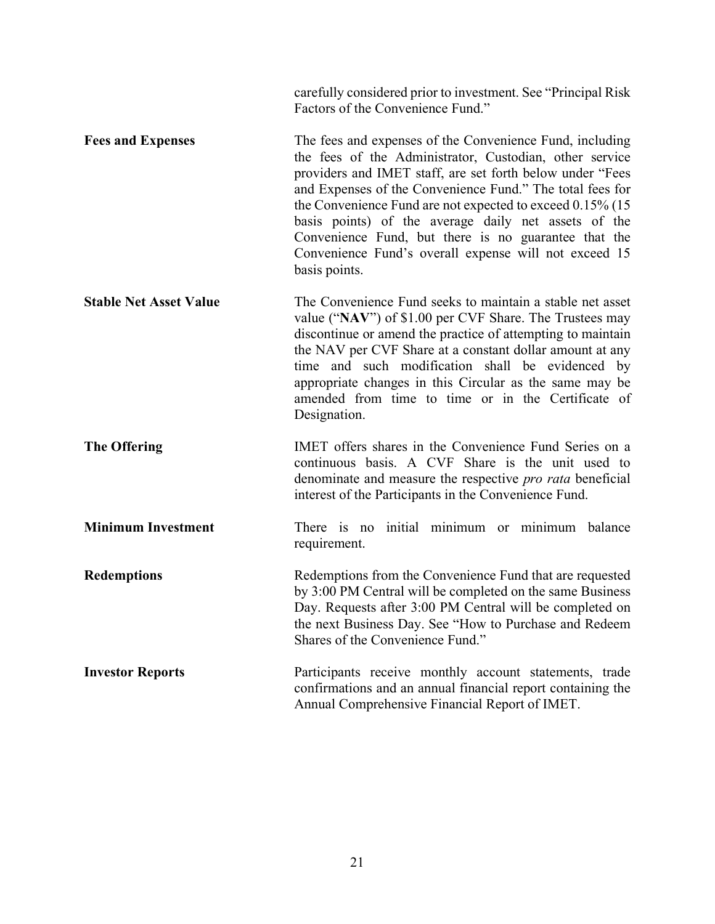carefully considered prior to investment. See "Principal Risk Factors of the Convenience Fund."

- **Fees and Expenses** The fees and expenses of the Convenience Fund, including the fees of the Administrator, Custodian, other service providers and IMET staff, are set forth below under "Fees and Expenses of the Convenience Fund." The total fees for the Convenience Fund are not expected to exceed 0.15% (15 basis points) of the average daily net assets of the Convenience Fund, but there is no guarantee that the Convenience Fund's overall expense will not exceed 15 basis points.
- **Stable Net Asset Value** The Convenience Fund seeks to maintain a stable net asset value ("**NAV**") of \$1.00 per CVF Share. The Trustees may discontinue or amend the practice of attempting to maintain the NAV per CVF Share at a constant dollar amount at any time and such modification shall be evidenced by appropriate changes in this Circular as the same may be amended from time to time or in the Certificate of Designation.
- **The Offering IMET** offers shares in the Convenience Fund Series on a continuous basis. A CVF Share is the unit used to denominate and measure the respective *pro rata* beneficial interest of the Participants in the Convenience Fund.
- **Minimum Investment** There is no initial minimum or minimum balance requirement.
- **Redemptions** Redemptions from the Convenience Fund that are requested by 3:00 PM Central will be completed on the same Business Day. Requests after 3:00 PM Central will be completed on the next Business Day. See "How to Purchase and Redeem Shares of the Convenience Fund."
- **Investor Reports** Participants receive monthly account statements, trade confirmations and an annual financial report containing the Annual Comprehensive Financial Report of IMET.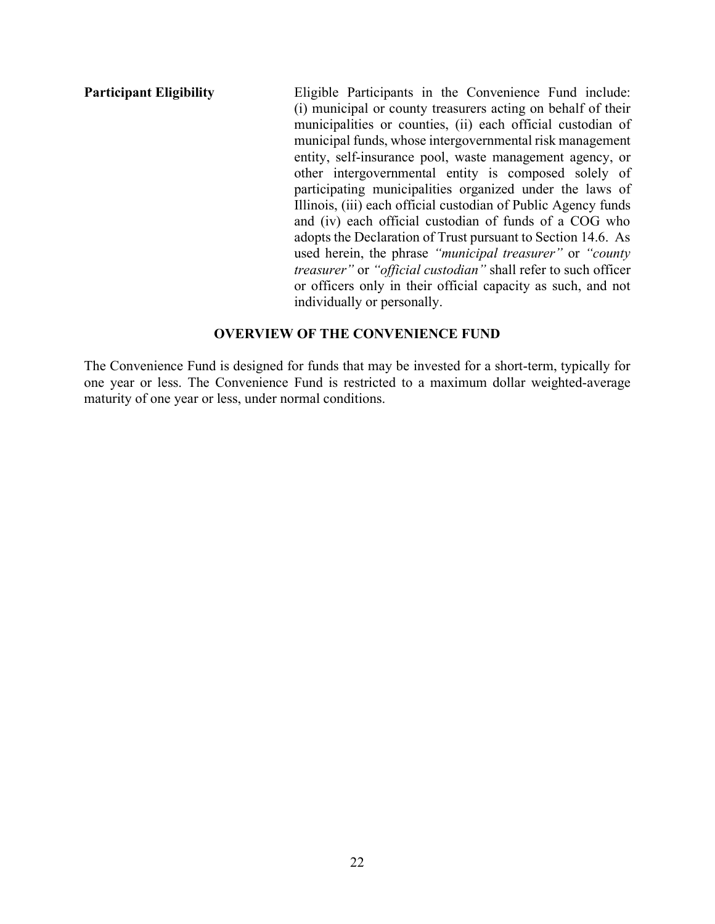**Participant Eligibility** Eligible Participants in the Convenience Fund include: (i) municipal or county treasurers acting on behalf of their municipalities or counties, (ii) each official custodian of municipal funds, whose intergovernmental risk management entity, self-insurance pool, waste management agency, or other intergovernmental entity is composed solely of participating municipalities organized under the laws of Illinois, (iii) each official custodian of Public Agency funds and (iv) each official custodian of funds of a COG who adopts the Declaration of Trust pursuant to Section 14.6. As used herein, the phrase *"municipal treasurer"* or *"county treasurer"* or *"official custodian"* shall refer to such officer or officers only in their official capacity as such, and not individually or personally.

# **OVERVIEW OF THE CONVENIENCE FUND**

The Convenience Fund is designed for funds that may be invested for a short-term, typically for one year or less. The Convenience Fund is restricted to a maximum dollar weighted-average maturity of one year or less, under normal conditions.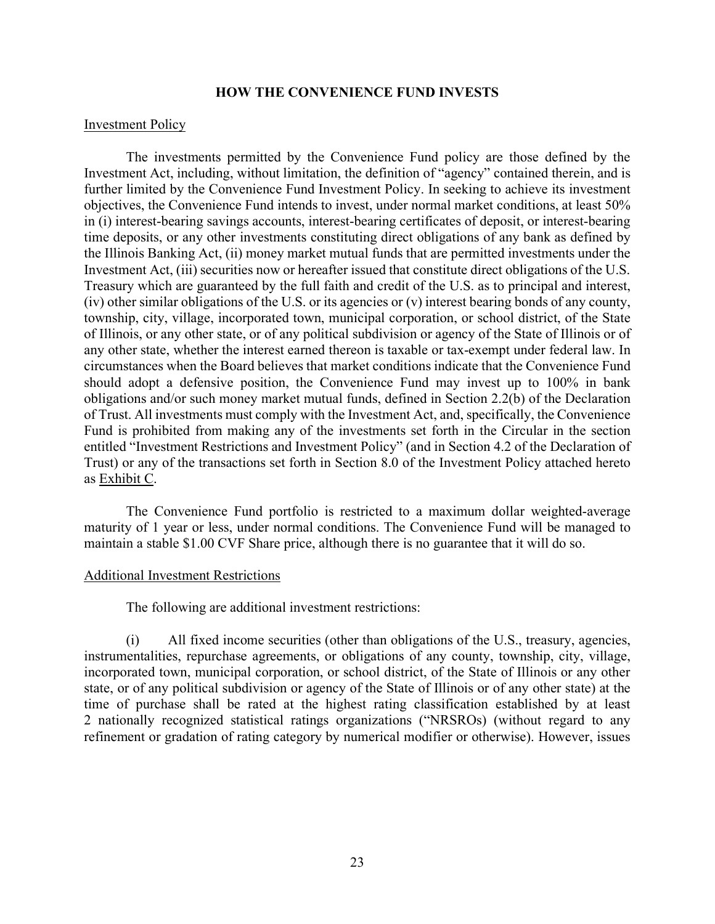### **HOW THE CONVENIENCE FUND INVESTS**

### Investment Policy

The investments permitted by the Convenience Fund policy are those defined by the Investment Act, including, without limitation, the definition of "agency" contained therein, and is further limited by the Convenience Fund Investment Policy. In seeking to achieve its investment objectives, the Convenience Fund intends to invest, under normal market conditions, at least 50% in (i) interest-bearing savings accounts, interest-bearing certificates of deposit, or interest-bearing time deposits, or any other investments constituting direct obligations of any bank as defined by the Illinois Banking Act, (ii) money market mutual funds that are permitted investments under the Investment Act, (iii) securities now or hereafter issued that constitute direct obligations of the U.S. Treasury which are guaranteed by the full faith and credit of the U.S. as to principal and interest, (iv) other similar obligations of the U.S. or its agencies or (v) interest bearing bonds of any county, township, city, village, incorporated town, municipal corporation, or school district, of the State of Illinois, or any other state, or of any political subdivision or agency of the State of Illinois or of any other state, whether the interest earned thereon is taxable or tax-exempt under federal law. In circumstances when the Board believes that market conditions indicate that the Convenience Fund should adopt a defensive position, the Convenience Fund may invest up to 100% in bank obligations and/or such money market mutual funds, defined in Section 2.2(b) of the Declaration of Trust. All investments must comply with the Investment Act, and, specifically, the Convenience Fund is prohibited from making any of the investments set forth in the Circular in the section entitled "Investment Restrictions and Investment Policy" (and in Section 4.2 of the Declaration of Trust) or any of the transactions set forth in Section 8.0 of the Investment Policy attached hereto as Exhibit C.

The Convenience Fund portfolio is restricted to a maximum dollar weighted-average maturity of 1 year or less, under normal conditions. The Convenience Fund will be managed to maintain a stable \$1.00 CVF Share price, although there is no guarantee that it will do so.

#### Additional Investment Restrictions

The following are additional investment restrictions:

(i) All fixed income securities (other than obligations of the U.S., treasury, agencies, instrumentalities, repurchase agreements, or obligations of any county, township, city, village, incorporated town, municipal corporation, or school district, of the State of Illinois or any other state, or of any political subdivision or agency of the State of Illinois or of any other state) at the time of purchase shall be rated at the highest rating classification established by at least 2 nationally recognized statistical ratings organizations ("NRSROs) (without regard to any refinement or gradation of rating category by numerical modifier or otherwise). However, issues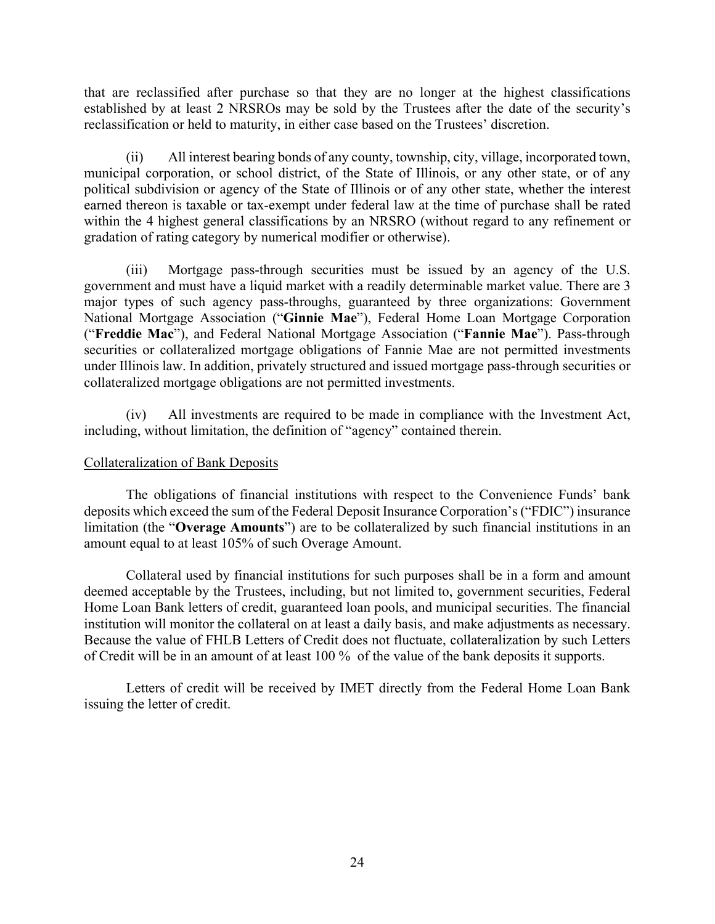that are reclassified after purchase so that they are no longer at the highest classifications established by at least 2 NRSROs may be sold by the Trustees after the date of the security's reclassification or held to maturity, in either case based on the Trustees' discretion.

(ii) All interest bearing bonds of any county, township, city, village, incorporated town, municipal corporation, or school district, of the State of Illinois, or any other state, or of any political subdivision or agency of the State of Illinois or of any other state, whether the interest earned thereon is taxable or tax-exempt under federal law at the time of purchase shall be rated within the 4 highest general classifications by an NRSRO (without regard to any refinement or gradation of rating category by numerical modifier or otherwise).

(iii) Mortgage pass-through securities must be issued by an agency of the U.S. government and must have a liquid market with a readily determinable market value. There are 3 major types of such agency pass-throughs, guaranteed by three organizations: Government National Mortgage Association ("**Ginnie Mae**"), Federal Home Loan Mortgage Corporation ("**Freddie Mac**"), and Federal National Mortgage Association ("**Fannie Mae**"). Pass-through securities or collateralized mortgage obligations of Fannie Mae are not permitted investments under Illinois law. In addition, privately structured and issued mortgage pass-through securities or collateralized mortgage obligations are not permitted investments.

(iv) All investments are required to be made in compliance with the Investment Act, including, without limitation, the definition of "agency" contained therein.

# Collateralization of Bank Deposits

The obligations of financial institutions with respect to the Convenience Funds' bank deposits which exceed the sum of the Federal Deposit Insurance Corporation's ("FDIC") insurance limitation (the "**Overage Amounts**") are to be collateralized by such financial institutions in an amount equal to at least 105% of such Overage Amount.

Collateral used by financial institutions for such purposes shall be in a form and amount deemed acceptable by the Trustees, including, but not limited to, government securities, Federal Home Loan Bank letters of credit, guaranteed loan pools, and municipal securities. The financial institution will monitor the collateral on at least a daily basis, and make adjustments as necessary. Because the value of FHLB Letters of Credit does not fluctuate, collateralization by such Letters of Credit will be in an amount of at least 100 % of the value of the bank deposits it supports.

Letters of credit will be received by IMET directly from the Federal Home Loan Bank issuing the letter of credit.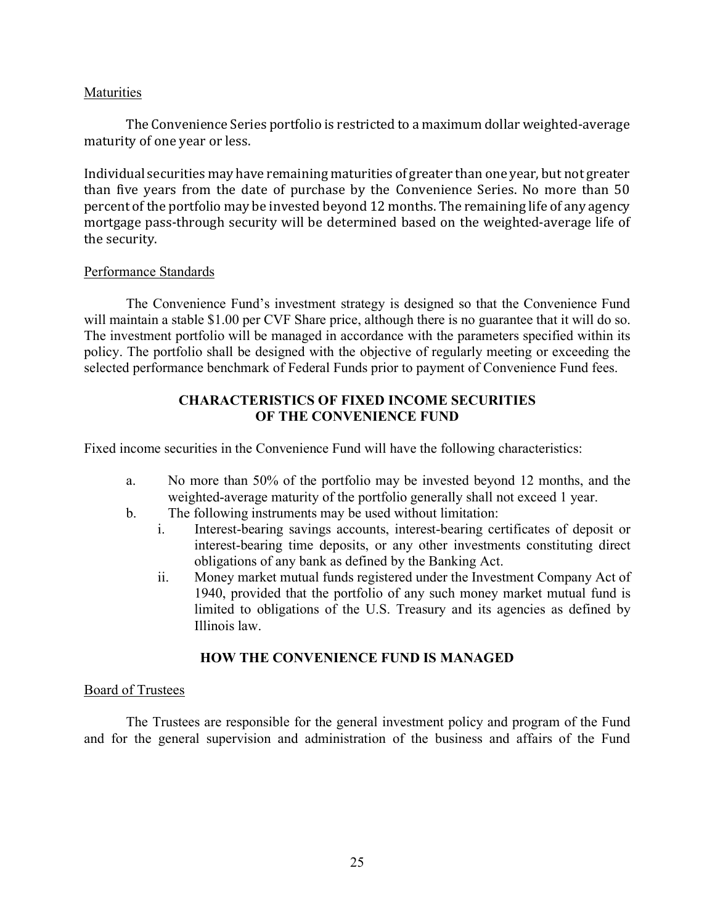# **Maturities**

The Convenience Series portfolio is restricted to a maximum dollar weighted-average maturity of one year or less.

Individual securities may have remaining maturities of greater than one year, but not greater than five years from the date of purchase by the Convenience Series. No more than 50 percent of the portfolio may be invested beyond 12 months. The remaining life of any agency mortgage pass-through security will be determined based on the weighted-average life of the security.

### Performance Standards

The Convenience Fund's investment strategy is designed so that the Convenience Fund will maintain a stable \$1.00 per CVF Share price, although there is no guarantee that it will do so. The investment portfolio will be managed in accordance with the parameters specified within its policy. The portfolio shall be designed with the objective of regularly meeting or exceeding the selected performance benchmark of Federal Funds prior to payment of Convenience Fund fees.

# **CHARACTERISTICS OF FIXED INCOME SECURITIES OF THE CONVENIENCE FUND**

Fixed income securities in the Convenience Fund will have the following characteristics:

- a. No more than 50% of the portfolio may be invested beyond 12 months, and the weighted-average maturity of the portfolio generally shall not exceed 1 year.
- b. The following instruments may be used without limitation:
	- i. Interest-bearing savings accounts, interest-bearing certificates of deposit or interest-bearing time deposits, or any other investments constituting direct obligations of any bank as defined by the Banking Act.
	- ii. Money market mutual funds registered under the Investment Company Act of 1940, provided that the portfolio of any such money market mutual fund is limited to obligations of the U.S. Treasury and its agencies as defined by Illinois law.

# **HOW THE CONVENIENCE FUND IS MANAGED**

# Board of Trustees

The Trustees are responsible for the general investment policy and program of the Fund and for the general supervision and administration of the business and affairs of the Fund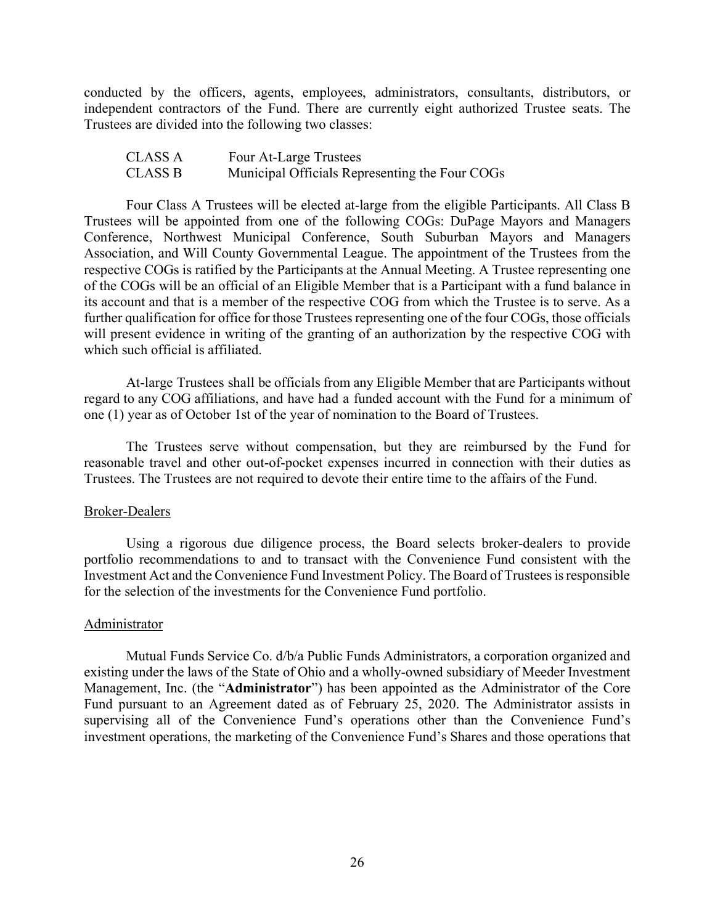conducted by the officers, agents, employees, administrators, consultants, distributors, or independent contractors of the Fund. There are currently eight authorized Trustee seats. The Trustees are divided into the following two classes:

| CLASS A | Four At-Large Trustees                         |
|---------|------------------------------------------------|
| CLASS B | Municipal Officials Representing the Four COGs |

Four Class A Trustees will be elected at-large from the eligible Participants. All Class B Trustees will be appointed from one of the following COGs: DuPage Mayors and Managers Conference, Northwest Municipal Conference, South Suburban Mayors and Managers Association, and Will County Governmental League. The appointment of the Trustees from the respective COGs is ratified by the Participants at the Annual Meeting. A Trustee representing one of the COGs will be an official of an Eligible Member that is a Participant with a fund balance in its account and that is a member of the respective COG from which the Trustee is to serve. As a further qualification for office for those Trustees representing one of the four COGs, those officials will present evidence in writing of the granting of an authorization by the respective COG with which such official is affiliated.

At-large Trustees shall be officials from any Eligible Member that are Participants without regard to any COG affiliations, and have had a funded account with the Fund for a minimum of one (1) year as of October 1st of the year of nomination to the Board of Trustees.

The Trustees serve without compensation, but they are reimbursed by the Fund for reasonable travel and other out-of-pocket expenses incurred in connection with their duties as Trustees. The Trustees are not required to devote their entire time to the affairs of the Fund.

### Broker-Dealers

Using a rigorous due diligence process, the Board selects broker-dealers to provide portfolio recommendations to and to transact with the Convenience Fund consistent with the Investment Act and the Convenience Fund Investment Policy. The Board of Trustees is responsible for the selection of the investments for the Convenience Fund portfolio.

### Administrator

Mutual Funds Service Co. d/b/a Public Funds Administrators, a corporation organized and existing under the laws of the State of Ohio and a wholly-owned subsidiary of Meeder Investment Management, Inc. (the "**Administrator**") has been appointed as the Administrator of the Core Fund pursuant to an Agreement dated as of February 25, 2020. The Administrator assists in supervising all of the Convenience Fund's operations other than the Convenience Fund's investment operations, the marketing of the Convenience Fund's Shares and those operations that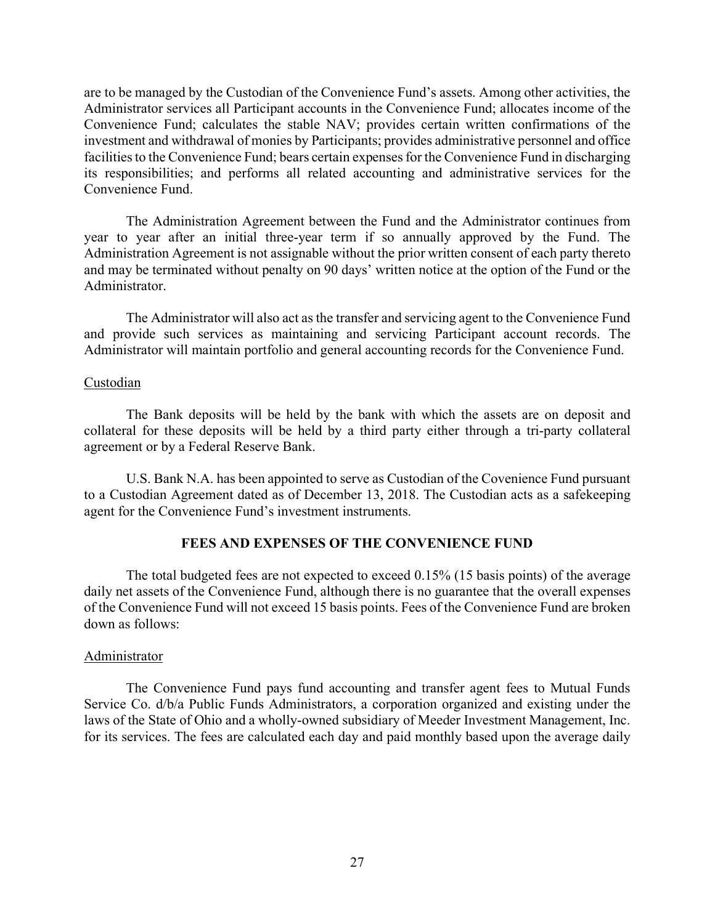are to be managed by the Custodian of the Convenience Fund's assets. Among other activities, the Administrator services all Participant accounts in the Convenience Fund; allocates income of the Convenience Fund; calculates the stable NAV; provides certain written confirmations of the investment and withdrawal of monies by Participants; provides administrative personnel and office facilities to the Convenience Fund; bears certain expenses for the Convenience Fund in discharging its responsibilities; and performs all related accounting and administrative services for the Convenience Fund.

The Administration Agreement between the Fund and the Administrator continues from year to year after an initial three-year term if so annually approved by the Fund. The Administration Agreement is not assignable without the prior written consent of each party thereto and may be terminated without penalty on 90 days' written notice at the option of the Fund or the Administrator.

The Administrator will also act as the transfer and servicing agent to the Convenience Fund and provide such services as maintaining and servicing Participant account records. The Administrator will maintain portfolio and general accounting records for the Convenience Fund.

### Custodian

The Bank deposits will be held by the bank with which the assets are on deposit and collateral for these deposits will be held by a third party either through a tri-party collateral agreement or by a Federal Reserve Bank.

U.S. Bank N.A. has been appointed to serve as Custodian of the Covenience Fund pursuant to a Custodian Agreement dated as of December 13, 2018. The Custodian acts as a safekeeping agent for the Convenience Fund's investment instruments.

#### **FEES AND EXPENSES OF THE CONVENIENCE FUND**

The total budgeted fees are not expected to exceed 0.15% (15 basis points) of the average daily net assets of the Convenience Fund, although there is no guarantee that the overall expenses of the Convenience Fund will not exceed 15 basis points. Fees of the Convenience Fund are broken down as follows:

#### Administrator

The Convenience Fund pays fund accounting and transfer agent fees to Mutual Funds Service Co. d/b/a Public Funds Administrators, a corporation organized and existing under the laws of the State of Ohio and a wholly-owned subsidiary of Meeder Investment Management, Inc. for its services. The fees are calculated each day and paid monthly based upon the average daily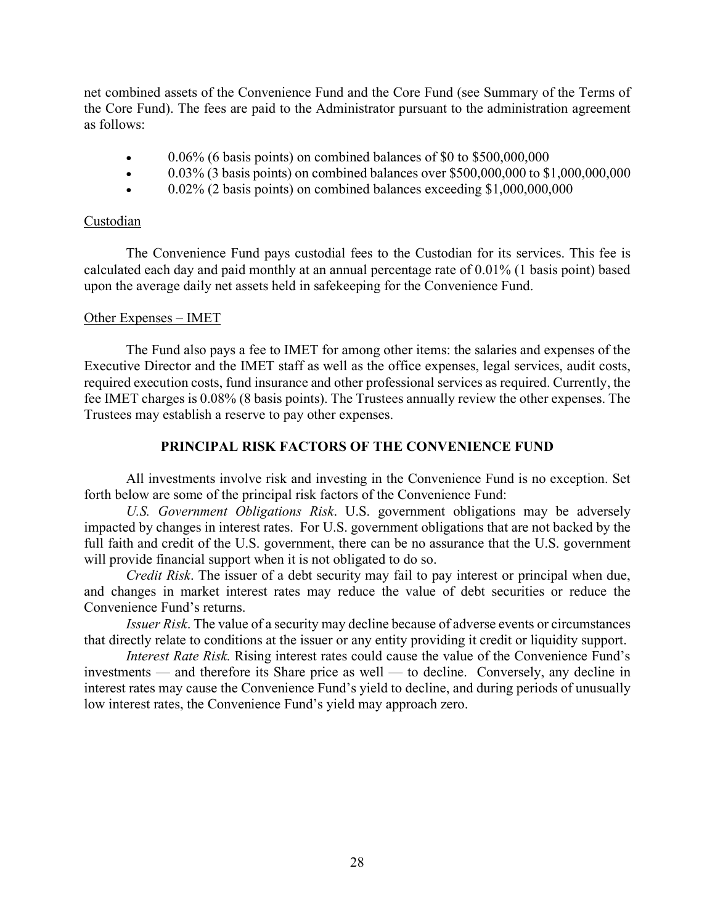net combined assets of the Convenience Fund and the Core Fund (see Summary of the Terms of the Core Fund). The fees are paid to the Administrator pursuant to the administration agreement as follows:

- $\bullet$  0.06% (6 basis points) on combined balances of \$0 to \$500,000,000
- 0.03% (3 basis points) on combined balances over \$500,000,000 to \$1,000,000,000
- $\bullet$  0.02% (2 basis points) on combined balances exceeding \$1,000,000,000

### Custodian

The Convenience Fund pays custodial fees to the Custodian for its services. This fee is calculated each day and paid monthly at an annual percentage rate of 0.01% (1 basis point) based upon the average daily net assets held in safekeeping for the Convenience Fund.

### Other Expenses – IMET

The Fund also pays a fee to IMET for among other items: the salaries and expenses of the Executive Director and the IMET staff as well as the office expenses, legal services, audit costs, required execution costs, fund insurance and other professional services as required. Currently, the fee IMET charges is 0.08% (8 basis points). The Trustees annually review the other expenses. The Trustees may establish a reserve to pay other expenses.

# **PRINCIPAL RISK FACTORS OF THE CONVENIENCE FUND**

All investments involve risk and investing in the Convenience Fund is no exception. Set forth below are some of the principal risk factors of the Convenience Fund:

*U.S. Government Obligations Risk*. U.S. government obligations may be adversely impacted by changes in interest rates. For U.S. government obligations that are not backed by the full faith and credit of the U.S. government, there can be no assurance that the U.S. government will provide financial support when it is not obligated to do so.

*Credit Risk*. The issuer of a debt security may fail to pay interest or principal when due, and changes in market interest rates may reduce the value of debt securities or reduce the Convenience Fund's returns.

*Issuer Risk*. The value of a security may decline because of adverse events or circumstances that directly relate to conditions at the issuer or any entity providing it credit or liquidity support.

*Interest Rate Risk.* Rising interest rates could cause the value of the Convenience Fund's investments — and therefore its Share price as well — to decline. Conversely, any decline in interest rates may cause the Convenience Fund's yield to decline, and during periods of unusually low interest rates, the Convenience Fund's yield may approach zero.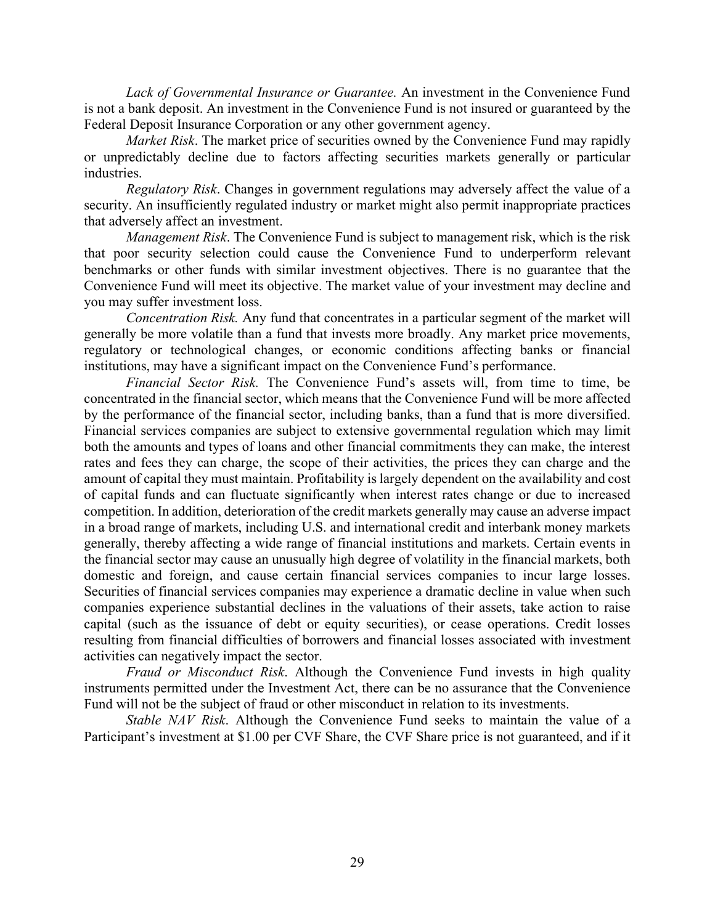*Lack of Governmental Insurance or Guarantee.* An investment in the Convenience Fund is not a bank deposit. An investment in the Convenience Fund is not insured or guaranteed by the Federal Deposit Insurance Corporation or any other government agency.

*Market Risk*. The market price of securities owned by the Convenience Fund may rapidly or unpredictably decline due to factors affecting securities markets generally or particular industries.

*Regulatory Risk*. Changes in government regulations may adversely affect the value of a security. An insufficiently regulated industry or market might also permit inappropriate practices that adversely affect an investment.

*Management Risk*. The Convenience Fund is subject to management risk, which is the risk that poor security selection could cause the Convenience Fund to underperform relevant benchmarks or other funds with similar investment objectives. There is no guarantee that the Convenience Fund will meet its objective. The market value of your investment may decline and you may suffer investment loss.

*Concentration Risk.* Any fund that concentrates in a particular segment of the market will generally be more volatile than a fund that invests more broadly. Any market price movements, regulatory or technological changes, or economic conditions affecting banks or financial institutions, may have a significant impact on the Convenience Fund's performance.

*Financial Sector Risk.* The Convenience Fund's assets will, from time to time, be concentrated in the financial sector, which means that the Convenience Fund will be more affected by the performance of the financial sector, including banks, than a fund that is more diversified. Financial services companies are subject to extensive governmental regulation which may limit both the amounts and types of loans and other financial commitments they can make, the interest rates and fees they can charge, the scope of their activities, the prices they can charge and the amount of capital they must maintain. Profitability is largely dependent on the availability and cost of capital funds and can fluctuate significantly when interest rates change or due to increased competition. In addition, deterioration of the credit markets generally may cause an adverse impact in a broad range of markets, including U.S. and international credit and interbank money markets generally, thereby affecting a wide range of financial institutions and markets. Certain events in the financial sector may cause an unusually high degree of volatility in the financial markets, both domestic and foreign, and cause certain financial services companies to incur large losses. Securities of financial services companies may experience a dramatic decline in value when such companies experience substantial declines in the valuations of their assets, take action to raise capital (such as the issuance of debt or equity securities), or cease operations. Credit losses resulting from financial difficulties of borrowers and financial losses associated with investment activities can negatively impact the sector.

*Fraud or Misconduct Risk*. Although the Convenience Fund invests in high quality instruments permitted under the Investment Act, there can be no assurance that the Convenience Fund will not be the subject of fraud or other misconduct in relation to its investments.

*Stable NAV Risk*. Although the Convenience Fund seeks to maintain the value of a Participant's investment at \$1.00 per CVF Share, the CVF Share price is not guaranteed, and if it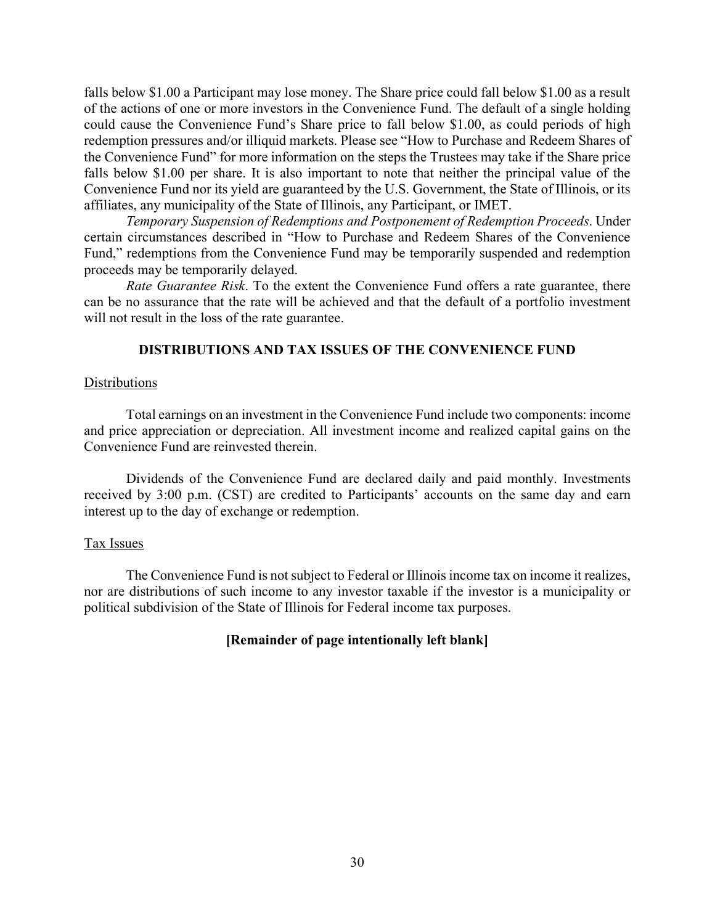falls below \$1.00 a Participant may lose money. The Share price could fall below \$1.00 as a result of the actions of one or more investors in the Convenience Fund. The default of a single holding could cause the Convenience Fund's Share price to fall below \$1.00, as could periods of high redemption pressures and/or illiquid markets. Please see "How to Purchase and Redeem Shares of the Convenience Fund" for more information on the steps the Trustees may take if the Share price falls below \$1.00 per share. It is also important to note that neither the principal value of the Convenience Fund nor its yield are guaranteed by the U.S. Government, the State of Illinois, or its affiliates, any municipality of the State of Illinois, any Participant, or IMET.

*Temporary Suspension of Redemptions and Postponement of Redemption Proceeds*. Under certain circumstances described in "How to Purchase and Redeem Shares of the Convenience Fund," redemptions from the Convenience Fund may be temporarily suspended and redemption proceeds may be temporarily delayed.

*Rate Guarantee Risk*. To the extent the Convenience Fund offers a rate guarantee, there can be no assurance that the rate will be achieved and that the default of a portfolio investment will not result in the loss of the rate guarantee.

### **DISTRIBUTIONS AND TAX ISSUES OF THE CONVENIENCE FUND**

# **Distributions**

Total earnings on an investment in the Convenience Fund include two components: income and price appreciation or depreciation. All investment income and realized capital gains on the Convenience Fund are reinvested therein.

Dividends of the Convenience Fund are declared daily and paid monthly. Investments received by 3:00 p.m. (CST) are credited to Participants' accounts on the same day and earn interest up to the day of exchange or redemption.

#### Tax Issues

The Convenience Fund is not subject to Federal or Illinois income tax on income it realizes, nor are distributions of such income to any investor taxable if the investor is a municipality or political subdivision of the State of Illinois for Federal income tax purposes.

### **[Remainder of page intentionally left blank]**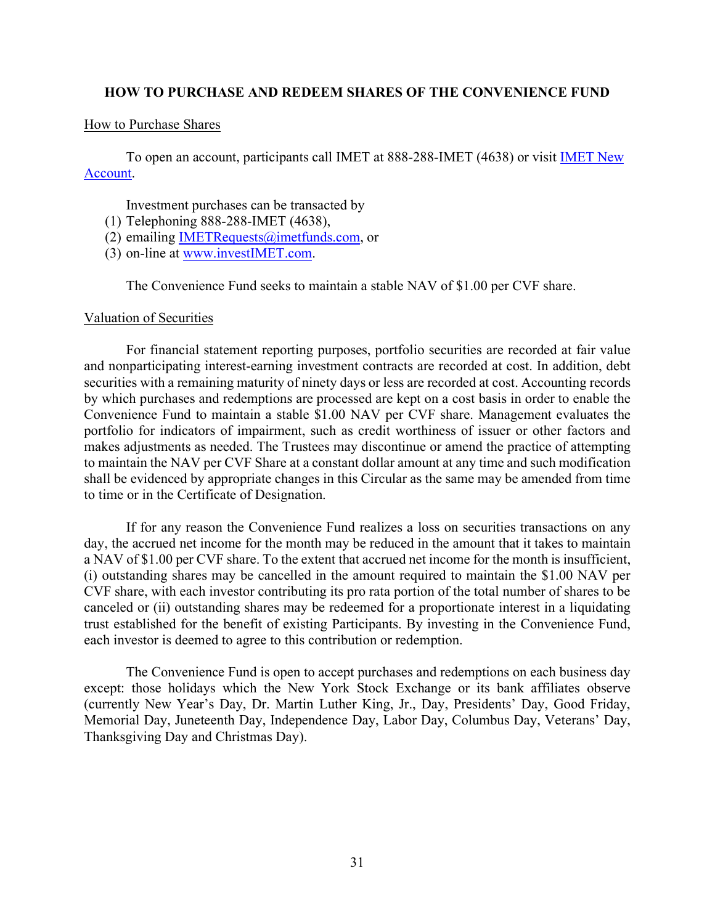## **HOW TO PURCHASE AND REDEEM SHARES OF THE CONVENIENCE FUND**

### How to Purchase Shares

To open an account, participants call IMET at 888-288-IMET (4638) or visit [IMET New](https://www.investimet.com/content/documents/imet_new_account_kit_v7.pdf)  [Account.](https://www.investimet.com/content/documents/imet_new_account_kit_v7.pdf)

Investment purchases can be transacted by

- (1) Telephoning 888-288-IMET (4638),
- (2) emailing IMETRequests $@$ imetfunds.com, or
- (3) on-line at [www.investIMET.com.](http://www.investimet.com/)

The Convenience Fund seeks to maintain a stable NAV of \$1.00 per CVF share.

### Valuation of Securities

For financial statement reporting purposes, portfolio securities are recorded at fair value and nonparticipating interest-earning investment contracts are recorded at cost. In addition, debt securities with a remaining maturity of ninety days or less are recorded at cost. Accounting records by which purchases and redemptions are processed are kept on a cost basis in order to enable the Convenience Fund to maintain a stable \$1.00 NAV per CVF share. Management evaluates the portfolio for indicators of impairment, such as credit worthiness of issuer or other factors and makes adjustments as needed. The Trustees may discontinue or amend the practice of attempting to maintain the NAV per CVF Share at a constant dollar amount at any time and such modification shall be evidenced by appropriate changes in this Circular as the same may be amended from time to time or in the Certificate of Designation.

If for any reason the Convenience Fund realizes a loss on securities transactions on any day, the accrued net income for the month may be reduced in the amount that it takes to maintain a NAV of \$1.00 per CVF share. To the extent that accrued net income for the month is insufficient, (i) outstanding shares may be cancelled in the amount required to maintain the \$1.00 NAV per CVF share, with each investor contributing its pro rata portion of the total number of shares to be canceled or (ii) outstanding shares may be redeemed for a proportionate interest in a liquidating trust established for the benefit of existing Participants. By investing in the Convenience Fund, each investor is deemed to agree to this contribution or redemption.

The Convenience Fund is open to accept purchases and redemptions on each business day except: those holidays which the New York Stock Exchange or its bank affiliates observe (currently New Year's Day, Dr. Martin Luther King, Jr., Day, Presidents' Day, Good Friday, Memorial Day, Juneteenth Day, Independence Day, Labor Day, Columbus Day, Veterans' Day, Thanksgiving Day and Christmas Day).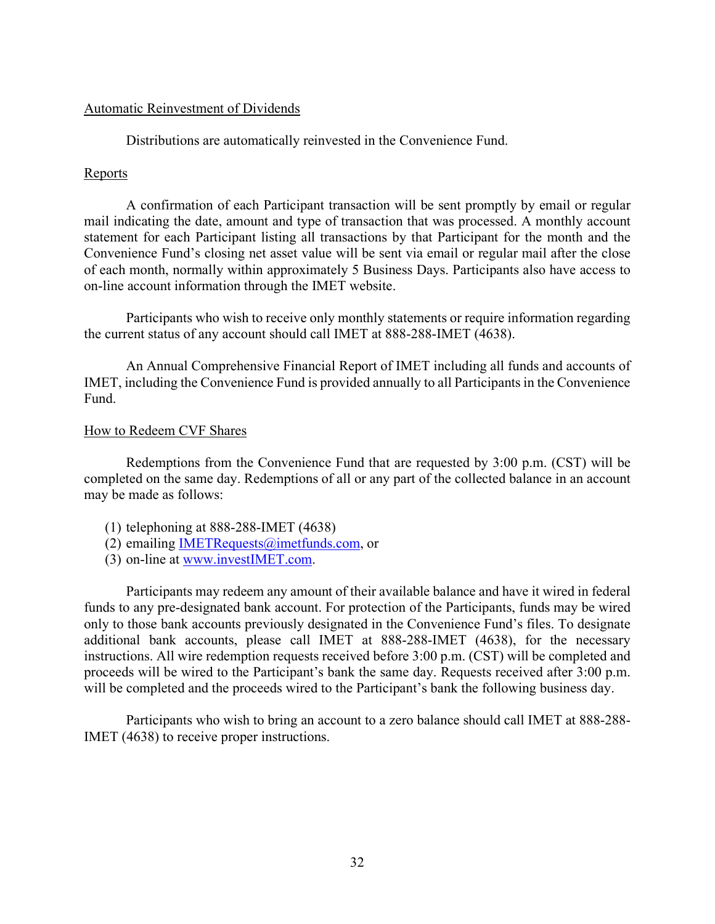### Automatic Reinvestment of Dividends

Distributions are automatically reinvested in the Convenience Fund.

# **Reports**

A confirmation of each Participant transaction will be sent promptly by email or regular mail indicating the date, amount and type of transaction that was processed. A monthly account statement for each Participant listing all transactions by that Participant for the month and the Convenience Fund's closing net asset value will be sent via email or regular mail after the close of each month, normally within approximately 5 Business Days. Participants also have access to on-line account information through the IMET website.

Participants who wish to receive only monthly statements or require information regarding the current status of any account should call IMET at 888-288-IMET (4638).

An Annual Comprehensive Financial Report of IMET including all funds and accounts of IMET, including the Convenience Fund is provided annually to all Participants in the Convenience Fund.

### How to Redeem CVF Shares

Redemptions from the Convenience Fund that are requested by 3:00 p.m. (CST) will be completed on the same day. Redemptions of all or any part of the collected balance in an account may be made as follows:

- (1) telephoning at 888-288-IMET (4638)
- (2) emailing IMETRequests $@$ imetfunds.com, or
- (3) on-line at [www.investIMET.com.](http://www.investimet.com/)

Participants may redeem any amount of their available balance and have it wired in federal funds to any pre-designated bank account. For protection of the Participants, funds may be wired only to those bank accounts previously designated in the Convenience Fund's files. To designate additional bank accounts, please call IMET at 888-288-IMET (4638), for the necessary instructions. All wire redemption requests received before 3:00 p.m. (CST) will be completed and proceeds will be wired to the Participant's bank the same day. Requests received after 3:00 p.m. will be completed and the proceeds wired to the Participant's bank the following business day.

Participants who wish to bring an account to a zero balance should call IMET at 888-288- IMET (4638) to receive proper instructions.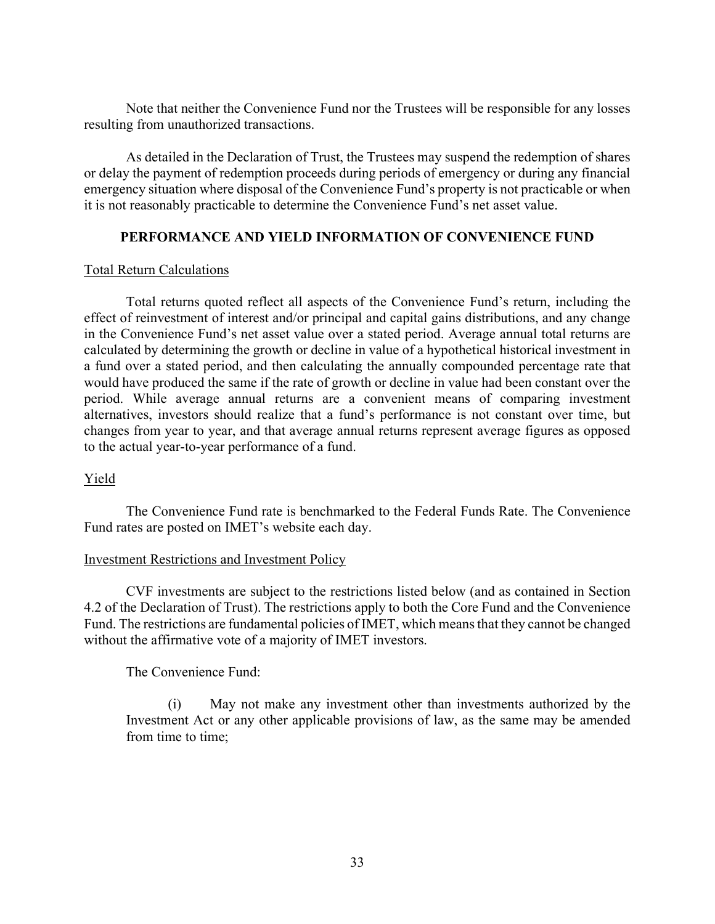Note that neither the Convenience Fund nor the Trustees will be responsible for any losses resulting from unauthorized transactions.

As detailed in the Declaration of Trust, the Trustees may suspend the redemption of shares or delay the payment of redemption proceeds during periods of emergency or during any financial emergency situation where disposal of the Convenience Fund's property is not practicable or when it is not reasonably practicable to determine the Convenience Fund's net asset value.

# **PERFORMANCE AND YIELD INFORMATION OF CONVENIENCE FUND**

# Total Return Calculations

Total returns quoted reflect all aspects of the Convenience Fund's return, including the effect of reinvestment of interest and/or principal and capital gains distributions, and any change in the Convenience Fund's net asset value over a stated period. Average annual total returns are calculated by determining the growth or decline in value of a hypothetical historical investment in a fund over a stated period, and then calculating the annually compounded percentage rate that would have produced the same if the rate of growth or decline in value had been constant over the period. While average annual returns are a convenient means of comparing investment alternatives, investors should realize that a fund's performance is not constant over time, but changes from year to year, and that average annual returns represent average figures as opposed to the actual year-to-year performance of a fund.

# Yield

The Convenience Fund rate is benchmarked to the Federal Funds Rate. The Convenience Fund rates are posted on IMET's website each day.

# Investment Restrictions and Investment Policy

CVF investments are subject to the restrictions listed below (and as contained in Section 4.2 of the Declaration of Trust). The restrictions apply to both the Core Fund and the Convenience Fund. The restrictions are fundamental policies of IMET, which means that they cannot be changed without the affirmative vote of a majority of IMET investors.

The Convenience Fund:

(i) May not make any investment other than investments authorized by the Investment Act or any other applicable provisions of law, as the same may be amended from time to time;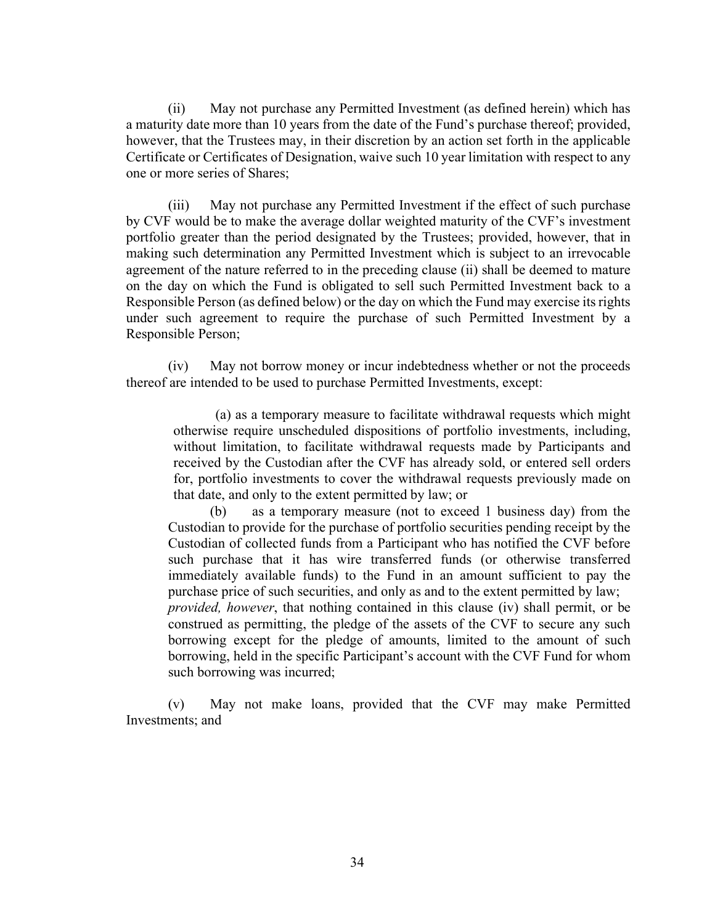(ii) May not purchase any Permitted Investment (as defined herein) which has a maturity date more than 10 years from the date of the Fund's purchase thereof; provided, however, that the Trustees may, in their discretion by an action set forth in the applicable Certificate or Certificates of Designation, waive such 10 year limitation with respect to any one or more series of Shares;

(iii) May not purchase any Permitted Investment if the effect of such purchase by CVF would be to make the average dollar weighted maturity of the CVF's investment portfolio greater than the period designated by the Trustees; provided, however, that in making such determination any Permitted Investment which is subject to an irrevocable agreement of the nature referred to in the preceding clause (ii) shall be deemed to mature on the day on which the Fund is obligated to sell such Permitted Investment back to a Responsible Person (as defined below) or the day on which the Fund may exercise its rights under such agreement to require the purchase of such Permitted Investment by a Responsible Person;

(iv) May not borrow money or incur indebtedness whether or not the proceeds thereof are intended to be used to purchase Permitted Investments, except:

(a) as a temporary measure to facilitate withdrawal requests which might otherwise require unscheduled dispositions of portfolio investments, including, without limitation, to facilitate withdrawal requests made by Participants and received by the Custodian after the CVF has already sold, or entered sell orders for, portfolio investments to cover the withdrawal requests previously made on that date, and only to the extent permitted by law; or

(b) as a temporary measure (not to exceed 1 business day) from the Custodian to provide for the purchase of portfolio securities pending receipt by the Custodian of collected funds from a Participant who has notified the CVF before such purchase that it has wire transferred funds (or otherwise transferred immediately available funds) to the Fund in an amount sufficient to pay the purchase price of such securities, and only as and to the extent permitted by law; *provided, however*, that nothing contained in this clause (iv) shall permit, or be construed as permitting, the pledge of the assets of the CVF to secure any such borrowing except for the pledge of amounts, limited to the amount of such borrowing, held in the specific Participant's account with the CVF Fund for whom

(v) May not make loans, provided that the CVF may make Permitted Investments; and

such borrowing was incurred;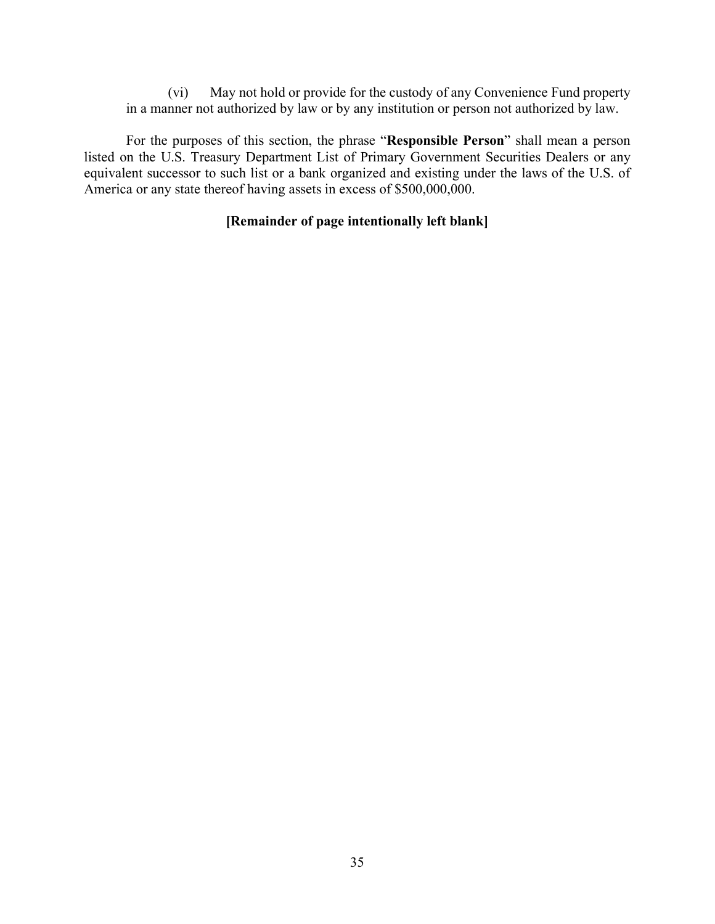(vi) May not hold or provide for the custody of any Convenience Fund property in a manner not authorized by law or by any institution or person not authorized by law.

For the purposes of this section, the phrase "**Responsible Person**" shall mean a person listed on the U.S. Treasury Department List of Primary Government Securities Dealers or any equivalent successor to such list or a bank organized and existing under the laws of the U.S. of America or any state thereof having assets in excess of \$500,000,000.

# **[Remainder of page intentionally left blank]**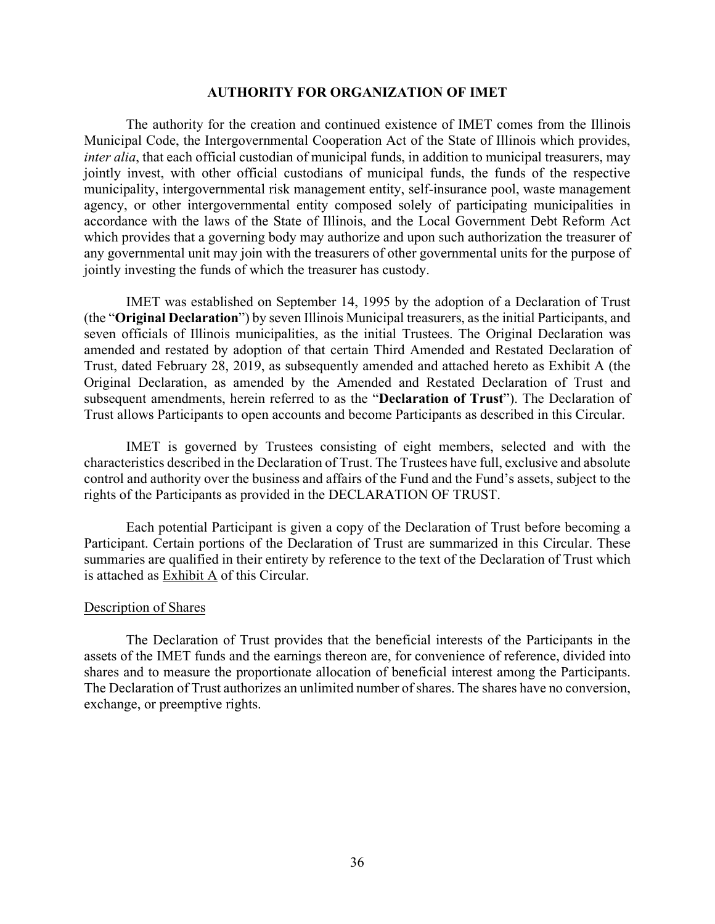### **AUTHORITY FOR ORGANIZATION OF IMET**

The authority for the creation and continued existence of IMET comes from the Illinois Municipal Code, the Intergovernmental Cooperation Act of the State of Illinois which provides, *inter alia*, that each official custodian of municipal funds, in addition to municipal treasurers, may jointly invest, with other official custodians of municipal funds, the funds of the respective municipality, intergovernmental risk management entity, self-insurance pool, waste management agency, or other intergovernmental entity composed solely of participating municipalities in accordance with the laws of the State of Illinois, and the Local Government Debt Reform Act which provides that a governing body may authorize and upon such authorization the treasurer of any governmental unit may join with the treasurers of other governmental units for the purpose of jointly investing the funds of which the treasurer has custody.

IMET was established on September 14, 1995 by the adoption of a Declaration of Trust (the "**Original Declaration**") by seven Illinois Municipal treasurers, as the initial Participants, and seven officials of Illinois municipalities, as the initial Trustees. The Original Declaration was amended and restated by adoption of that certain Third Amended and Restated Declaration of Trust, dated February 28, 2019, as subsequently amended and attached hereto as Exhibit A (the Original Declaration, as amended by the Amended and Restated Declaration of Trust and subsequent amendments, herein referred to as the "**Declaration of Trust**"). The Declaration of Trust allows Participants to open accounts and become Participants as described in this Circular.

IMET is governed by Trustees consisting of eight members, selected and with the characteristics described in the Declaration of Trust. The Trustees have full, exclusive and absolute control and authority over the business and affairs of the Fund and the Fund's assets, subject to the rights of the Participants as provided in the DECLARATION OF TRUST.

Each potential Participant is given a copy of the Declaration of Trust before becoming a Participant. Certain portions of the Declaration of Trust are summarized in this Circular. These summaries are qualified in their entirety by reference to the text of the Declaration of Trust which is attached as Exhibit A of this Circular.

#### Description of Shares

The Declaration of Trust provides that the beneficial interests of the Participants in the assets of the IMET funds and the earnings thereon are, for convenience of reference, divided into shares and to measure the proportionate allocation of beneficial interest among the Participants. The Declaration of Trust authorizes an unlimited number of shares. The shares have no conversion, exchange, or preemptive rights.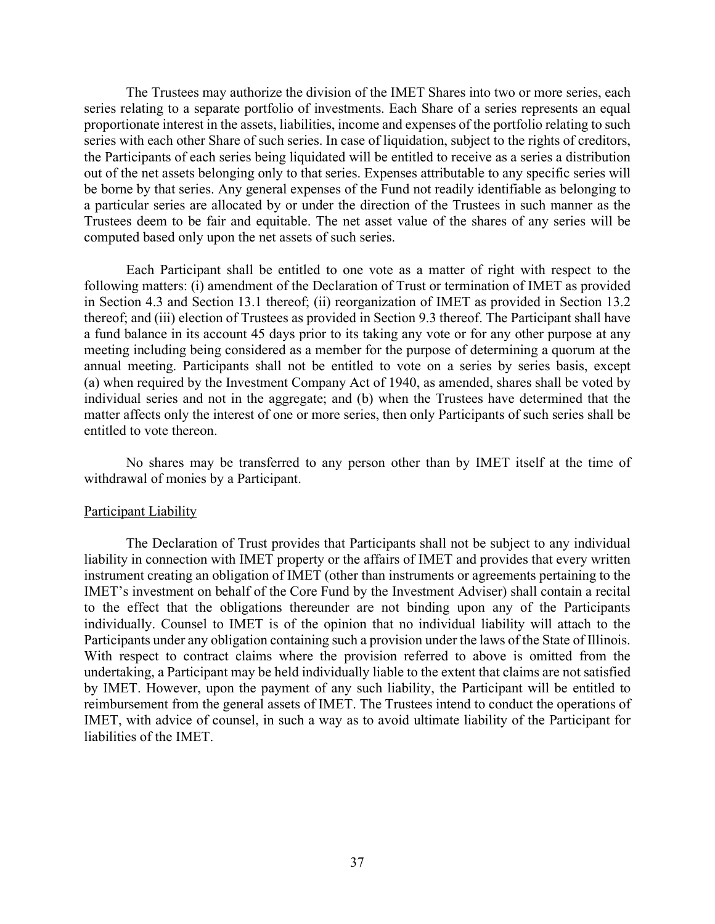The Trustees may authorize the division of the IMET Shares into two or more series, each series relating to a separate portfolio of investments. Each Share of a series represents an equal proportionate interest in the assets, liabilities, income and expenses of the portfolio relating to such series with each other Share of such series. In case of liquidation, subject to the rights of creditors, the Participants of each series being liquidated will be entitled to receive as a series a distribution out of the net assets belonging only to that series. Expenses attributable to any specific series will be borne by that series. Any general expenses of the Fund not readily identifiable as belonging to a particular series are allocated by or under the direction of the Trustees in such manner as the Trustees deem to be fair and equitable. The net asset value of the shares of any series will be computed based only upon the net assets of such series.

Each Participant shall be entitled to one vote as a matter of right with respect to the following matters: (i) amendment of the Declaration of Trust or termination of IMET as provided in Section 4.3 and Section 13.1 thereof; (ii) reorganization of IMET as provided in Section 13.2 thereof; and (iii) election of Trustees as provided in Section 9.3 thereof. The Participant shall have a fund balance in its account 45 days prior to its taking any vote or for any other purpose at any meeting including being considered as a member for the purpose of determining a quorum at the annual meeting. Participants shall not be entitled to vote on a series by series basis, except (a) when required by the Investment Company Act of 1940, as amended, shares shall be voted by individual series and not in the aggregate; and (b) when the Trustees have determined that the matter affects only the interest of one or more series, then only Participants of such series shall be entitled to vote thereon.

No shares may be transferred to any person other than by IMET itself at the time of withdrawal of monies by a Participant.

#### Participant Liability

The Declaration of Trust provides that Participants shall not be subject to any individual liability in connection with IMET property or the affairs of IMET and provides that every written instrument creating an obligation of IMET (other than instruments or agreements pertaining to the IMET's investment on behalf of the Core Fund by the Investment Adviser) shall contain a recital to the effect that the obligations thereunder are not binding upon any of the Participants individually. Counsel to IMET is of the opinion that no individual liability will attach to the Participants under any obligation containing such a provision under the laws of the State of Illinois. With respect to contract claims where the provision referred to above is omitted from the undertaking, a Participant may be held individually liable to the extent that claims are not satisfied by IMET. However, upon the payment of any such liability, the Participant will be entitled to reimbursement from the general assets of IMET. The Trustees intend to conduct the operations of IMET, with advice of counsel, in such a way as to avoid ultimate liability of the Participant for liabilities of the IMET.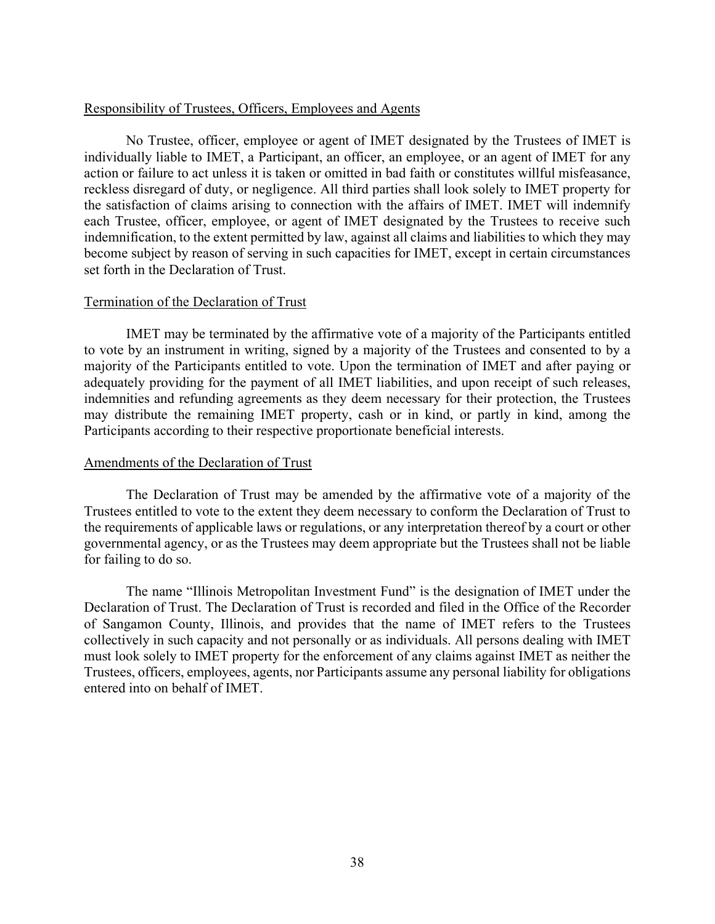### Responsibility of Trustees, Officers, Employees and Agents

No Trustee, officer, employee or agent of IMET designated by the Trustees of IMET is individually liable to IMET, a Participant, an officer, an employee, or an agent of IMET for any action or failure to act unless it is taken or omitted in bad faith or constitutes willful misfeasance, reckless disregard of duty, or negligence. All third parties shall look solely to IMET property for the satisfaction of claims arising to connection with the affairs of IMET. IMET will indemnify each Trustee, officer, employee, or agent of IMET designated by the Trustees to receive such indemnification, to the extent permitted by law, against all claims and liabilities to which they may become subject by reason of serving in such capacities for IMET, except in certain circumstances set forth in the Declaration of Trust.

### Termination of the Declaration of Trust

IMET may be terminated by the affirmative vote of a majority of the Participants entitled to vote by an instrument in writing, signed by a majority of the Trustees and consented to by a majority of the Participants entitled to vote. Upon the termination of IMET and after paying or adequately providing for the payment of all IMET liabilities, and upon receipt of such releases, indemnities and refunding agreements as they deem necessary for their protection, the Trustees may distribute the remaining IMET property, cash or in kind, or partly in kind, among the Participants according to their respective proportionate beneficial interests.

### Amendments of the Declaration of Trust

The Declaration of Trust may be amended by the affirmative vote of a majority of the Trustees entitled to vote to the extent they deem necessary to conform the Declaration of Trust to the requirements of applicable laws or regulations, or any interpretation thereof by a court or other governmental agency, or as the Trustees may deem appropriate but the Trustees shall not be liable for failing to do so.

The name "Illinois Metropolitan Investment Fund" is the designation of IMET under the Declaration of Trust. The Declaration of Trust is recorded and filed in the Office of the Recorder of Sangamon County, Illinois, and provides that the name of IMET refers to the Trustees collectively in such capacity and not personally or as individuals. All persons dealing with IMET must look solely to IMET property for the enforcement of any claims against IMET as neither the Trustees, officers, employees, agents, nor Participants assume any personal liability for obligations entered into on behalf of IMET.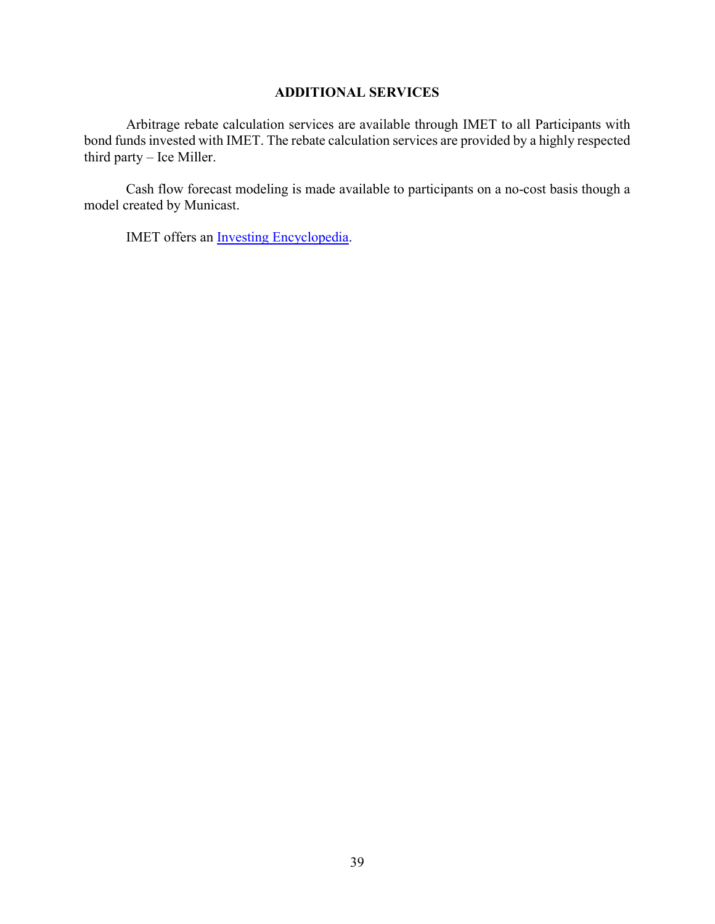# **ADDITIONAL SERVICES**

Arbitrage rebate calculation services are available through IMET to all Participants with bond funds invested with IMET. The rebate calculation services are provided by a highly respected third party – Ice Miller.

Cash flow forecast modeling is made available to participants on a no-cost basis though a model created by Municast.

IMET offers an **Investing Encyclopedia**.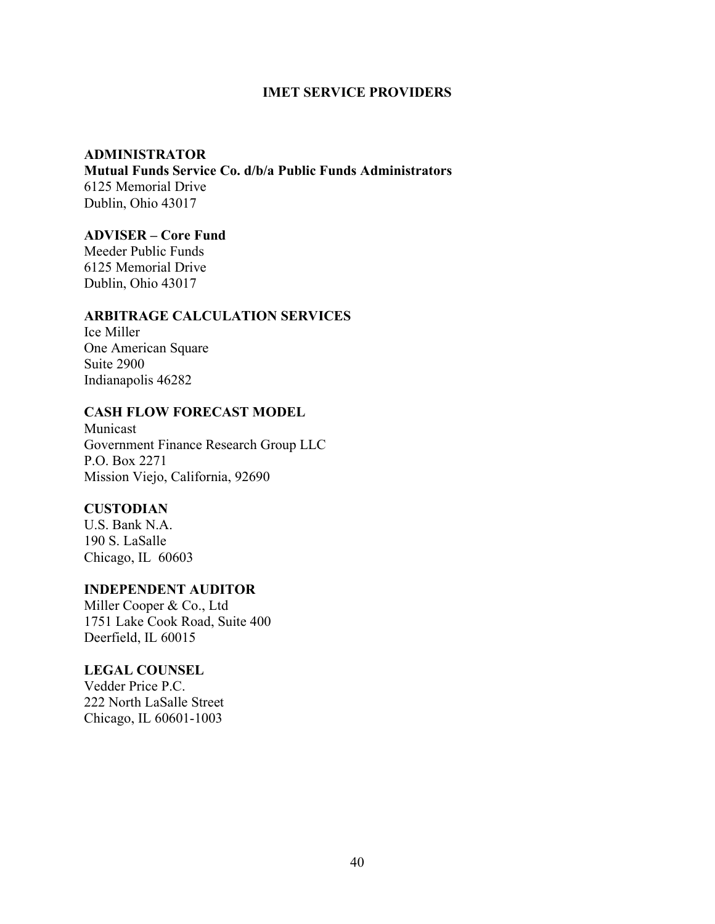### **IMET SERVICE PROVIDERS**

### **ADMINISTRATOR**

**Mutual Funds Service Co. d/b/a Public Funds Administrators** 6125 Memorial Drive Dublin, Ohio 43017

# **ADVISER – Core Fund**

Meeder Public Funds 6125 Memorial Drive Dublin, Ohio 43017

### **ARBITRAGE CALCULATION SERVICES**

Ice Miller One American Square Suite 2900 Indianapolis 46282

# **CASH FLOW FORECAST MODEL**

Municast Government Finance Research Group LLC P.O. Box 2271 Mission Viejo, California, 92690

# **CUSTODIAN**

U.S. Bank N.A. 190 S. LaSalle Chicago, IL 60603

### **INDEPENDENT AUDITOR**

Miller Cooper & Co., Ltd 1751 Lake Cook Road, Suite 400 Deerfield, IL 60015

### **LEGAL COUNSEL**

Vedder Price P.C. 222 North LaSalle Street Chicago, IL 60601-1003